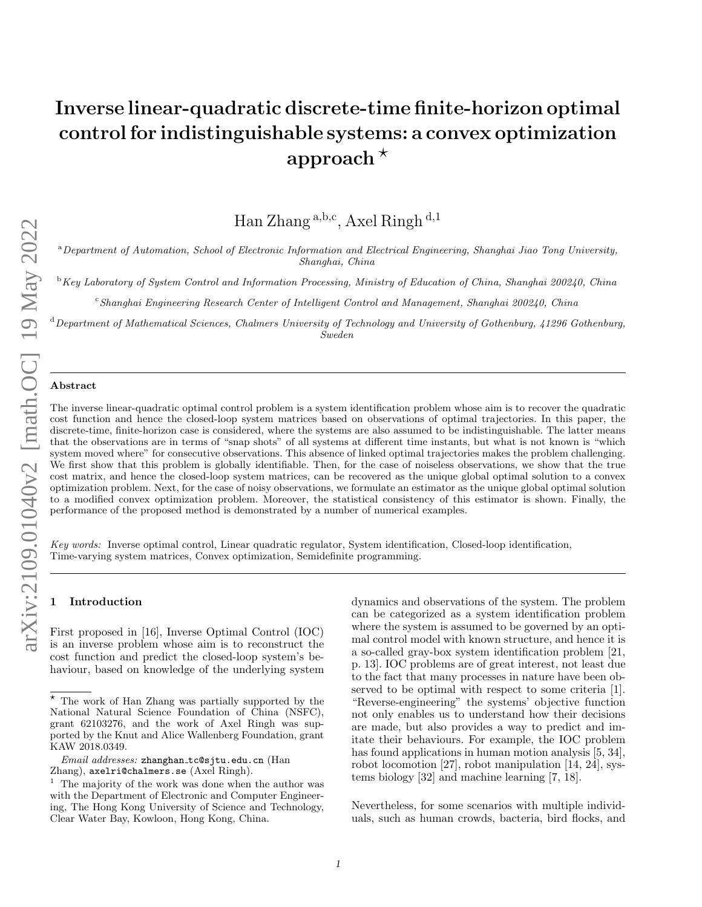# Inverse linear-quadratic discrete-time finite-horizon optimal control for indistinguishable systems: a convex optimization approach  $*$

Han Zhang<sup>a,b,c</sup>, Axel Ringh<sup>d,1</sup>

<sup>a</sup>Department of Automation, School of Electronic Information and Electrical Engineering, Shanghai Jiao Tong University, Shanghai, China

 $\rm ^b$ Key Laboratory of System Control and Information Processing, Ministry of Education of China, Shanghai 200240, China

<sup>c</sup>Shanghai Engineering Research Center of Intelligent Control and Management, Shanghai 200240, China

 $d$ Department of Mathematical Sciences, Chalmers University of Technology and University of Gothenburg, 41296 Gothenburg, Sweden

#### Abstract

The inverse linear-quadratic optimal control problem is a system identification problem whose aim is to recover the quadratic cost function and hence the closed-loop system matrices based on observations of optimal trajectories. In this paper, the discrete-time, finite-horizon case is considered, where the systems are also assumed to be indistinguishable. The latter means that the observations are in terms of "snap shots" of all systems at different time instants, but what is not known is "which system moved where" for consecutive observations. This absence of linked optimal trajectories makes the problem challenging. We first show that this problem is globally identifiable. Then, for the case of noiseless observations, we show that the true cost matrix, and hence the closed-loop system matrices, can be recovered as the unique global optimal solution to a convex optimization problem. Next, for the case of noisy observations, we formulate an estimator as the unique global optimal solution to a modified convex optimization problem. Moreover, the statistical consistency of this estimator is shown. Finally, the performance of the proposed method is demonstrated by a number of numerical examples.

Key words: Inverse optimal control, Linear quadratic regulator, System identification, Closed-loop identification, Time-varying system matrices, Convex optimization, Semidefinite programming.

## **Introduction**

First proposed in [\[16\]](#page-15-0), Inverse Optimal Control (IOC) is an inverse problem whose aim is to reconstruct the cost function and predict the closed-loop system's behaviour, based on knowledge of the underlying system

dynamics and observations of the system. The problem can be categorized as a system identification problem where the system is assumed to be governed by an optimal control model with known structure, and hence it is a so-called gray-box system identification problem [\[21,](#page-15-1) p. 13]. IOC problems are of great interest, not least due to the fact that many processes in nature have been observed to be optimal with respect to some criteria [\[1\]](#page-14-0). "Reverse-engineering" the systems' objective function not only enables us to understand how their decisions are made, but also provides a way to predict and imitate their behaviours. For example, the IOC problem has found applications in human motion analysis [\[5,](#page-14-1) [34\]](#page-15-2), robot locomotion [\[27\]](#page-15-3), robot manipulation [\[14,](#page-15-4) [24\]](#page-15-5), systems biology [\[32\]](#page-15-6) and machine learning [\[7,](#page-14-2) [18\]](#page-15-7).

Nevertheless, for some scenarios with multiple individuals, such as human crowds, bacteria, bird flocks, and

 $^\star$  The work of Han Zhang was partially supported by the National Natural Science Foundation of China (NSFC), grant 62103276, and the work of Axel Ringh was supported by the Knut and Alice Wallenberg Foundation, grant KAW 2018.0349.

 $Email$   $addresses:$   $z$ hanghan\_tc@sjtu.edu.cn (Han Zhang), axelri@chalmers.se (Axel Ringh).

<sup>&</sup>lt;sup>1</sup> The majority of the work was done when the author was with the Department of Electronic and Computer Engineering, The Hong Kong University of Science and Technology, Clear Water Bay, Kowloon, Hong Kong, China.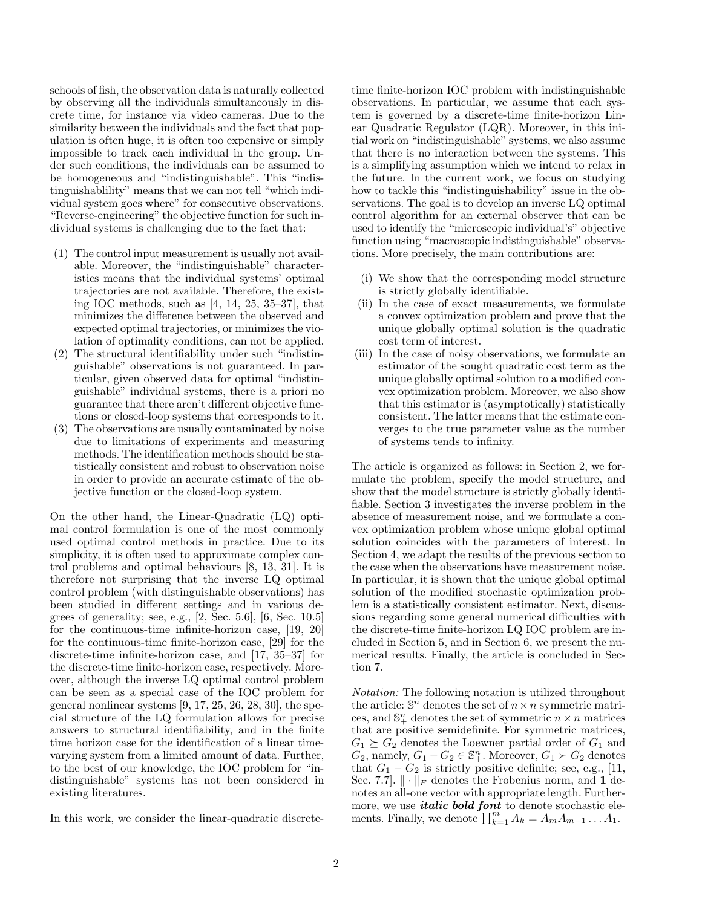schools of fish, the observation data is naturally collected by observing all the individuals simultaneously in discrete time, for instance via video cameras. Due to the similarity between the individuals and the fact that population is often huge, it is often too expensive or simply impossible to track each individual in the group. Under such conditions, the individuals can be assumed to be homogeneous and "indistinguishable". This "indistinguishablility" means that we can not tell "which individual system goes where" for consecutive observations. "Reverse-engineering" the objective function for such individual systems is challenging due to the fact that:

- (1) The control input measurement is usually not available. Moreover, the "indistinguishable" characteristics means that the individual systems' optimal trajectories are not available. Therefore, the existing IOC methods, such as [\[4,](#page-14-3) [14,](#page-15-4) [25,](#page-15-8) [35](#page-15-9)[–37\]](#page-15-10), that minimizes the difference between the observed and expected optimal trajectories, or minimizes the violation of optimality conditions, can not be applied.
- (2) The structural identifiability under such "indistinguishable" observations is not guaranteed. In particular, given observed data for optimal "indistinguishable" individual systems, there is a priori no guarantee that there aren't different objective functions or closed-loop systems that corresponds to it.
- (3) The observations are usually contaminated by noise due to limitations of experiments and measuring methods. The identification methods should be statistically consistent and robust to observation noise in order to provide an accurate estimate of the objective function or the closed-loop system.

On the other hand, the Linear-Quadratic (LQ) optimal control formulation is one of the most commonly used optimal control methods in practice. Due to its simplicity, it is often used to approximate complex control problems and optimal behaviours [\[8,](#page-14-4) [13,](#page-15-11) [31\]](#page-15-12). It is therefore not surprising that the inverse LQ optimal control problem (with distinguishable observations) has been studied in different settings and in various degrees of generality; see, e.g., [\[2,](#page-14-5) Sec. 5.6], [\[6,](#page-14-6) Sec. 10.5] for the continuous-time infinite-horizon case, [\[19,](#page-15-13) [20\]](#page-15-14) for the continuous-time finite-horizon case, [\[29\]](#page-15-15) for the discrete-time infinite-horizon case, and [\[17,](#page-15-16) [35–](#page-15-9)[37\]](#page-15-10) for the discrete-time finite-horizon case, respectively. Moreover, although the inverse LQ optimal control problem can be seen as a special case of the IOC problem for general nonlinear systems  $[9, 17, 25, 26, 28, 30]$  $[9, 17, 25, 26, 28, 30]$  $[9, 17, 25, 26, 28, 30]$  $[9, 17, 25, 26, 28, 30]$  $[9, 17, 25, 26, 28, 30]$  $[9, 17, 25, 26, 28, 30]$  $[9, 17, 25, 26, 28, 30]$  $[9, 17, 25, 26, 28, 30]$  $[9, 17, 25, 26, 28, 30]$  $[9, 17, 25, 26, 28, 30]$ , the special structure of the LQ formulation allows for precise answers to structural identifiability, and in the finite time horizon case for the identification of a linear timevarying system from a limited amount of data. Further, to the best of our knowledge, the IOC problem for "indistinguishable" systems has not been considered in existing literatures.

In this work, we consider the linear-quadratic discrete-

time finite-horizon IOC problem with indistinguishable observations. In particular, we assume that each system is governed by a discrete-time finite-horizon Linear Quadratic Regulator (LQR). Moreover, in this initial work on "indistinguishable" systems, we also assume that there is no interaction between the systems. This is a simplifying assumption which we intend to relax in the future. In the current work, we focus on studying how to tackle this "indistinguishability" issue in the observations. The goal is to develop an inverse LQ optimal control algorithm for an external observer that can be used to identify the "microscopic individual's" objective function using "macroscopic indistinguishable" observations. More precisely, the main contributions are:

- (i) We show that the corresponding model structure is strictly globally identifiable.
- (ii) In the case of exact measurements, we formulate a convex optimization problem and prove that the unique globally optimal solution is the quadratic cost term of interest.
- (iii) In the case of noisy observations, we formulate an estimator of the sought quadratic cost term as the unique globally optimal solution to a modified convex optimization problem. Moreover, we also show that this estimator is (asymptotically) statistically consistent. The latter means that the estimate converges to the true parameter value as the number of systems tends to infinity.

The article is organized as follows: in Section [2,](#page-2-0) we formulate the problem, specify the model structure, and show that the model structure is strictly globally identifiable. Section [3](#page-3-0) investigates the inverse problem in the absence of measurement noise, and we formulate a convex optimization problem whose unique global optimal solution coincides with the parameters of interest. In Section [4,](#page-7-0) we adapt the results of the previous section to the case when the observations have measurement noise. In particular, it is shown that the unique global optimal solution of the modified stochastic optimization problem is a statistically consistent estimator. Next, discussions regarding some general numerical difficulties with the discrete-time finite-horizon LQ IOC problem are included in Section [5,](#page-10-0) and in Section [6,](#page-12-0) we present the numerical results. Finally, the article is concluded in Section [7.](#page-14-7)

Notation: The following notation is utilized throughout the article:  $\mathbb{S}^n$  denotes the set of  $n \times n$  symmetric matrices, and  $\mathbb{S}^n_+$  denotes the set of symmetric  $n \times n$  matrices that are positive semidefinite. For symmetric matrices,  $G_1 \succeq G_2$  denotes the Loewner partial order of  $G_1$  and  $G_2$ , namely,  $G_1 - G_2 \in \mathbb{S}^n_+$ . Moreover,  $G_1 \succ G_2$  denotes that  $G_1 - G_2$  is strictly positive definite; see, e.g., [\[11,](#page-15-21) Sec. 7.7].  $\|\cdot\|_F$  denotes the Frobenius norm, and 1 denotes an all-one vector with appropriate length. Furthermore, we use *italic bold font* to denote stochastic elements. Finally, we denote  $\prod_{k=1}^{m} A_k = A_m A_{m-1} \dots A_1$ .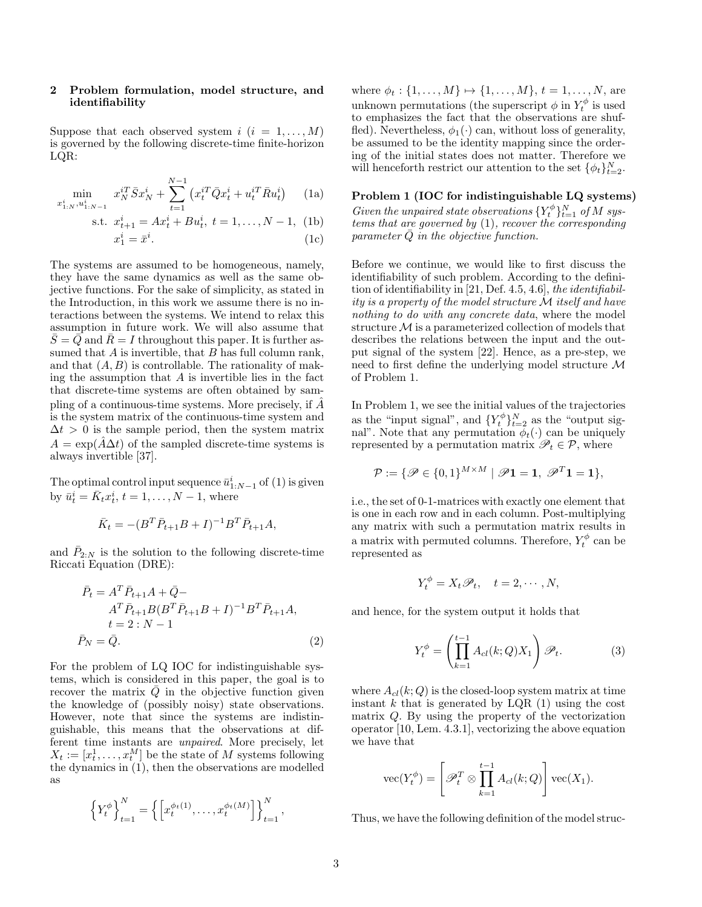## <span id="page-2-0"></span>2 Problem formulation, model structure, and identifiability

<span id="page-2-1"></span>Suppose that each observed system  $i$   $(i = 1, \ldots, M)$ is governed by the following discrete-time finite-horizon LQR:

$$
\min_{x_{1:N}^i, u_{1:N-1}^i} x_N^{i} \bar{S} x_N^i + \sum_{t=1}^{N-1} \left( x_t^{i} \bar{Q} x_t^i + u_t^{i} \bar{R} u_t^i \right) \tag{1a}
$$

 $\mathbf S$ .

t. 
$$
x_{t+1}^i = Ax_t^i + Bu_t^i
$$
,  $t = 1, ..., N - 1$ , (1b)  
 $x_1^i = \bar{x}^i$ . (1c)

The systems are assumed to be homogeneous, namely, they have the same dynamics as well as the same objective functions. For the sake of simplicity, as stated in the Introduction, in this work we assume there is no interactions between the systems. We intend to relax this assumption in future work. We will also assume that  $S = Q$  and  $R = I$  throughout this paper. It is further assumed that  $A$  is invertible, that  $B$  has full column rank, and that  $(A, B)$  is controllable. The rationality of making the assumption that  $A$  is invertible lies in the fact that discrete-time systems are often obtained by sampling of a continuous-time systems. More precisely, if  $\hat{A}$ is the system matrix of the continuous-time system and  $\Delta t > 0$  is the sample period, then the system matrix  $A = \exp(\hat{A}\Delta t)$  of the sampled discrete-time systems is always invertible [\[37\]](#page-15-10).

The optimal control input sequence  $\bar{u}_{1:N-1}^i$  of  $(1)$  is given by  $\bar{u}_t^i = \bar{K}_t x_t^i$ ,  $t = 1, \ldots, N-1$ , where

$$
\bar{K}_t = -(B^T \bar{P}_{t+1} B + I)^{-1} B^T \bar{P}_{t+1} A,
$$

and  $\bar{P}_{2:N}$  is the solution to the following discrete-time Riccati Equation (DRE):

$$
\bar{P}_t = A^T \bar{P}_{t+1} A + \bar{Q} - A^T \bar{P}_{t+1} B (B^T \bar{P}_{t+1} B + I)^{-1} B^T \bar{P}_{t+1} A,
$$
  
\n
$$
t = 2 : N - 1
$$
  
\n
$$
\bar{P}_N = \bar{Q}.
$$
\n(2)

For the problem of LQ IOC for indistinguishable systems, which is considered in this paper, the goal is to recover the matrix  $\overline{Q}$  in the objective function given the knowledge of (possibly noisy) state observations. However, note that since the systems are indistinguishable, this means that the observations at different time instants are unpaired. More precisely, let  $X_t := [x_t^1, \ldots, x_t^M]$  be the state of M systems following the dynamics in [\(1\)](#page-2-1), then the observations are modelled as

$$
\left\{Y_t^{\phi}\right\}_{t=1}^N = \left\{\left[x_t^{\phi_t(1)}, \dots, x_t^{\phi_t(M)}\right]\right\}_{t=1}^N,
$$

where  $\phi_t : \{1, ..., M\} \mapsto \{1, ..., M\}, t = 1, ..., N$ , are unknown permutations (the superscript  $\phi$  in  $Y_t^{\phi}$  is used to emphasizes the fact that the observations are shuffled). Nevertheless,  $\phi_1(\cdot)$  can, without loss of generality, be assumed to be the identity mapping since the ordering of the initial states does not matter. Therefore we will henceforth restrict our attention to the set  $\{\phi_t\}_{t=2}^N$ .

<span id="page-2-6"></span><span id="page-2-4"></span><span id="page-2-2"></span>Problem 1 (IOC for indistinguishable LQ systems) Given the unpaired state observations  $\{Y_t^{\phi}\}_{t=1}^N$  of M systems that are governed by [\(1\)](#page-2-1), recover the corresponding parameter  $\overline{Q}$  in the objective function.

<span id="page-2-5"></span>Before we continue, we would like to first discuss the identifiability of such problem. According to the definition of identifiability in [\[21,](#page-15-1) Def. 4.5, 4.6], the identifiability is a property of the model structure M itself and have nothing to do with any concrete data, where the model structure  $M$  is a parameterized collection of models that describes the relations between the input and the output signal of the system [\[22\]](#page-15-22). Hence, as a pre-step, we need to first define the underlying model structure M of Problem [1.](#page-2-2)

In Problem [1,](#page-2-2) we see the initial values of the trajectories as the "input signal", and  $\{Y_t^{\phi}\}_{t=2}^N$  as the "output signal". Note that any permutation  $\phi_t(\cdot)$  can be uniquely represented by a permutation matrix  $\mathscr{P}_t \in \mathcal{P}$ , where

$$
\mathcal{P}:=\{\mathscr{P}\in\{0,1\}^{M\times M} \mid \mathscr{P} \mathbf{1}=\mathbf{1},\ \mathscr{P}^T\mathbf{1}=\mathbf{1}\},\
$$

i.e., the set of 0-1-matrices with exactly one element that is one in each row and in each column. Post-multiplying any matrix with such a permutation matrix results in a matrix with permuted columns. Therefore,  $Y_t^{\phi}$  can be represented as

$$
Y_t^{\phi} = X_t \mathscr{P}_t, \quad t = 2, \cdots, N,
$$

<span id="page-2-3"></span>and hence, for the system output it holds that

<span id="page-2-7"></span>
$$
Y_t^{\phi} = \left(\prod_{k=1}^{t-1} A_{cl}(k; Q) X_1\right) \mathcal{P}_t.
$$
 (3)

where  $A_{cl}(k; Q)$  is the closed-loop system matrix at time instant k that is generated by LQR  $(1)$  using the cost matrix Q. By using the property of the vectorization operator [\[10,](#page-15-23) Lem. 4.3.1], vectorizing the above equation we have that

$$
\text{vec}(Y_t^{\phi}) = \left[\mathscr{P}_t^T \otimes \prod_{k=1}^{t-1} A_{cl}(k; Q)\right] \text{vec}(X_1).
$$

Thus, we have the following definition of the model struc-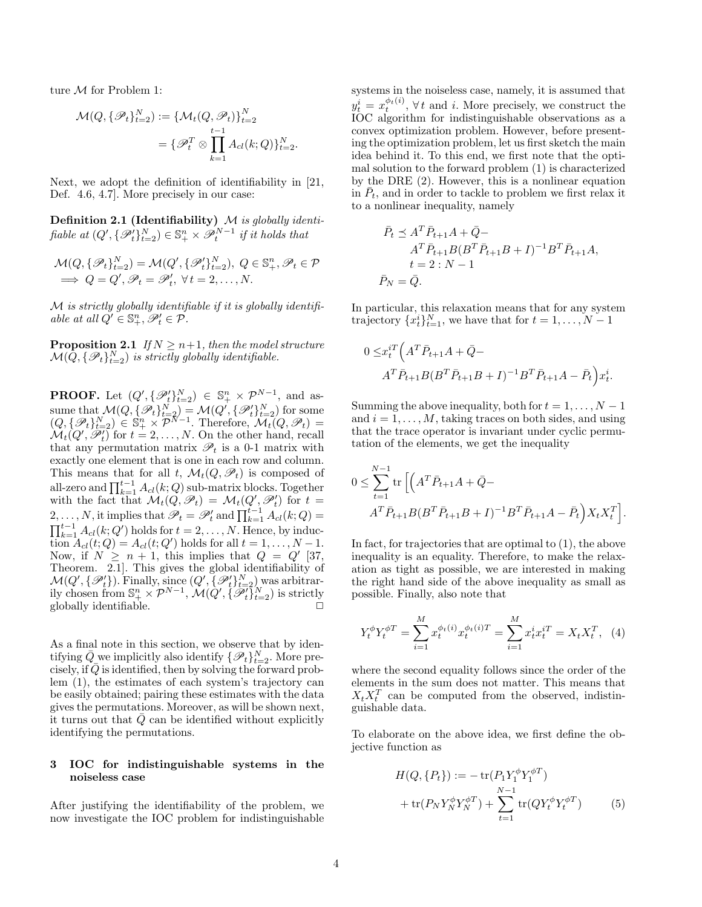ture M for Problem [1:](#page-2-2)

$$
\mathcal{M}(Q, \{\mathscr{P}_t\}_{t=2}^N) := \{\mathcal{M}_t(Q, \mathscr{P}_t)\}_{t=2}^N
$$

$$
= \{\mathscr{P}_t^T \otimes \prod_{k=1}^{t-1} A_{cl}(k; Q)\}_{t=2}^N.
$$

Next, we adopt the definition of identifiability in [\[21,](#page-15-1) Def. 4.6, 4.7]. More precisely in our case:

Definition 2.1 (Identifiability)  $M$  is globally identifiable at  $(Q', \{\mathscr{P}_t'\}_{t=2}^N) \in \mathbb{S}^n_+ \times \mathscr{P}_t^{N-1}$  if it holds that

$$
\mathcal{M}(Q, \{\mathscr{P}_t\}_{t=2}^N) = \mathcal{M}(Q', \{\mathscr{P}_t'\}_{t=2}^N), \ Q \in \mathbb{S}_+^n, \mathscr{P}_t \in \mathcal{P}
$$
  
\n
$$
\implies Q = Q', \mathscr{P}_t = \mathscr{P}_t', \ \forall \, t = 2, \dots, N.
$$

M is strictly globally identifiable if it is globally identifiable at all  $Q' \in \mathbb{S}^n_+, \mathscr{P}'_t \in \mathcal{P}$ .

<span id="page-3-3"></span>**Proposition 2.1** If  $N \geq n+1$ , then the model structure  $\mathcal{M}(\bar{Q}, \{\mathscr{P}_t\}_{t=2}^N)$  is strictly globally identifiable.

**PROOF.** Let  $(Q', {\{\mathscr{P}_t'\}}_{t=2}^N) \in \mathbb{S}^n_+ \times \mathcal{P}^{N-1}$ , and assume that  $\mathcal{M}(Q, \{\mathscr{P}_t\}_{t=2}^N) = \mathcal{M}(Q', \{\mathscr{P}_t'\}_{t=2}^N)$  for some  $(Q, {\{\mathscr{P}_t\}}_{t=2}^N) \in \mathbb{S}^n_+ \times \mathcal{P}^{N-1}$ . Therefore,  $\mathcal{M}_t(Q, \mathscr{P}_t)$  $\mathcal{M}_t(Q', \mathcal{P}'_t)$  for  $t = 2, ..., N$ . On the other hand, recall that any permutation matrix  $\mathscr{P}_t$  is a 0-1 matrix with exactly one element that is one in each row and column. This means that for all t,  $\mathcal{M}_t(Q, \mathscr{P}_t)$  is composed of all-zero and  $\prod_{k=1}^{t-1} A_{cl}(k;Q)$  sub-matrix blocks. Together with the fact that  $\mathcal{M}_t(Q, \mathscr{P}_t) = \mathcal{M}_t(Q', \mathscr{P}'_t)$  for  $t =$ 2, ..., N, it implies that  $\mathscr{P}_t = \mathscr{P}'_t$  and  $\prod_{k=1}^{t-1} A_{cl}(k; Q) =$  $\prod_{k=1}^{t-1} A_{cl}(k; Q')$  holds for  $t = 2, \ldots, N$ . Hence, by induc- $\overline{\text{tion }A}_{cl}(t;Q) = A_{cl}(t;Q')$  holds for all  $t = 1, \ldots, N-1$ . Now, if  $N \geq n+1$ , this implies that  $Q = Q'$  [\[37,](#page-15-10) Theorem. 2.1]. This gives the global identifiability of  $\mathcal{M}(Q', \{\mathscr{P}_t'\})$ . Finally, since  $(Q', \{\mathscr{P}_t'\}_{t=2}^N)$  was arbitrarily chosen from  $\mathbb{S}^n_+ \times \mathcal{P}^{N-1}$ ,  $\mathcal{M}(Q', \{\mathscr{P}_t'\}_{t=2}^N)$  is strictly globally identifiable.

As a final note in this section, we observe that by identifying  $\bar{Q}$  we implicitly also identify  $\{\mathscr{P}_t\}_{t=2}^N$ . More precisely, if  $\overline{Q}$  is identified, then by solving the forward problem [\(1\)](#page-2-1), the estimates of each system's trajectory can be easily obtained; pairing these estimates with the data gives the permutations. Moreover, as will be shown next, it turns out that  $\overline{Q}$  can be identified without explicitly identifying the permutations.

## <span id="page-3-0"></span>3 IOC for indistinguishable systems in the noiseless case

After justifying the identifiability of the problem, we now investigate the IOC problem for indistinguishable systems in the noiseless case, namely, it is assumed that  $y_t^i = x_t^{\phi_t(i)}$ ,  $\forall t$  and *i*. More precisely, we construct the IOC algorithm for indistinguishable observations as a convex optimization problem. However, before presenting the optimization problem, let us first sketch the main idea behind it. To this end, we first note that the optimal solution to the forward problem [\(1\)](#page-2-1) is characterized by the DRE [\(2\)](#page-2-3). However, this is a nonlinear equation in  $\overline{P}_t$ , and in order to tackle to problem we first relax it to a nonlinear inequality, namely

$$
\bar{P}_t \preceq A^T \bar{P}_{t+1} A + \bar{Q} - A^T \bar{P}_{t+1} B (B^T \bar{P}_{t+1} B + I)^{-1} B^T \bar{P}_{t+1} A, \nt = 2 : N - 1 \bar{P}_N = \bar{Q}.
$$

In particular, this relaxation means that for any system trajectory  $\{x_t^i\}_{t=1}^N$ , we have that for  $t = 1, \ldots, N-1$ 

$$
0 \leq x_t^{iT} \left( A^T \bar{P}_{t+1} A + \bar{Q} - A^T \bar{P}_{t+1} B (B^T \bar{P}_{t+1} B + I)^{-1} B^T \bar{P}_{t+1} A - \bar{P}_t \right) x_t^i.
$$

Summing the above inequality, both for  $t = 1, \ldots, N - 1$ and  $i = 1, \ldots, M$ , taking traces on both sides, and using that the trace operator is invariant under cyclic permutation of the elements, we get the inequality

$$
0 \leq \sum_{t=1}^{N-1} \text{tr}\left[ \left( A^T \bar{P}_{t+1} A + \bar{Q} - A^T \bar{P}_{t+1} B (B^T \bar{P}_{t+1} B + I)^{-1} B^T \bar{P}_{t+1} A - \bar{P}_t \right) X_t X_t^T \right].
$$

In fact, for trajectories that are optimal to [\(1\)](#page-2-1), the above inequality is an equality. Therefore, to make the relaxation as tight as possible, we are interested in making the right hand side of the above inequality as small as possible. Finally, also note that

<span id="page-3-1"></span>
$$
Y_t^{\phi} Y_t^{\phi T} = \sum_{i=1}^{M} x_t^{\phi_t(i)} x_t^{\phi_t(i)T} = \sum_{i=1}^{M} x_t^i x_t^{i} = X_t X_t^T, \tag{4}
$$

where the second equality follows since the order of the elements in the sum does not matter. This means that  $X_t X_t^T$  can be computed from the observed, indistinguishable data.

To elaborate on the above idea, we first define the objective function as

<span id="page-3-2"></span>
$$
H(Q, \{P_t\}) := -\operatorname{tr}(P_1 Y_1^{\phi} Y_1^{\phi T}) + \operatorname{tr}(P_N Y_N^{\phi} Y_N^{\phi T}) + \sum_{t=1}^{N-1} \operatorname{tr}(Q Y_t^{\phi} Y_t^{\phi T})
$$
(5)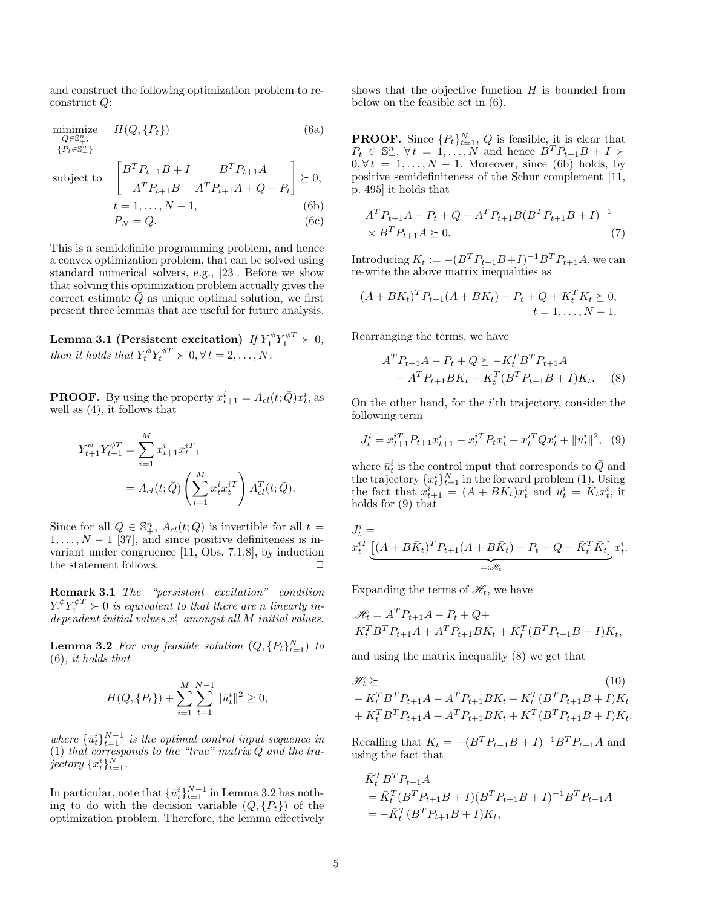<span id="page-4-0"></span>and construct the following optimization problem to reconstruct Q:

$$
\begin{array}{ll}\n\text{minimize} & H(Q, \{P_t\}) & \text{(6a)} \\
\frac{Q \in \mathbb{S}_+^n}{\{P_t \in \mathbb{S}_+^n\}} & \text{(6b)} \\
\text{subject to} & \begin{bmatrix} B^T P_{t+1} B + I & B^T P_{t+1} A \\ A^T P_{t+1} B & A^T P_{t+1} A + Q - P_t \end{bmatrix} \succeq 0, \\
& t = 1, \dots, N - 1, \tag{6b}\n\end{array}
$$

$$
t = 1, \dots, N - 1,
$$
\n
$$
P_N = Q.
$$
\n(6c)

This is a semidefinite programming problem, and hence a convex optimization problem, that can be solved using standard numerical solvers, e.g., [\[23\]](#page-15-24). Before we show that solving this optimization problem actually gives the correct estimate  $Q$  as unique optimal solution, we first present three lemmas that are useful for future analysis.

<span id="page-4-8"></span>Lemma 3.1 (Persistent excitation)  $\mathit{If} \, Y_1^\phi Y_1^{\phi T} \succ 0,$ then it holds that  $Y_t^{\phi} Y_t^{\phi T} \succ 0, \forall t = 2, ..., N$ .

**PROOF.** By using the property  $x_{t+1}^i = A_{cl}(t; \bar{Q})x_t^i$ , as well as [\(4\)](#page-3-1), it follows that

$$
Y_{t+1}^{\phi} Y_{t+1}^{\phi T} = \sum_{i=1}^{M} x_{t+1}^{i} x_{t+1}^{i T}
$$
  
=  $A_{cl}(t; \bar{Q}) \left( \sum_{i=1}^{M} x_{t}^{i} x_{t}^{i T} \right) A_{cl}^{T}(t; \bar{Q}).$ 

Since for all  $Q \in \mathbb{S}_{+}^{n}$ ,  $A_{cl}(t; Q)$  is invertible for all  $t =$  $1, \ldots, N-1$  [\[37\]](#page-15-10), and since positive definiteness is invariant under congruence [\[11,](#page-15-21) Obs. 7.1.8], by induction the statement follows.  $\Box$ 

Remark 3.1 The "persistent excitation" condition  $Y_1^{\phi} Y_1^{\phi T} \succ 0$  is equivalent to that there are n linearly in $dependent\ initial\ values\ x_1^i\ amongst\ all\ M\ initial\ values.$ 

<span id="page-4-1"></span>**Lemma 3.2** For any feasible solution  $(Q, \{P_t\}_{t=1}^N)$  to  $(6)$ , it holds that

$$
H(Q, \{P_t\}) + \sum_{i=1}^{M} \sum_{t=1}^{N-1} \|\bar{u}_t^i\|^2 \ge 0,
$$

where  ${\{\bar{u}_t^i\}}_{t=1}^{N-1}$  is the optimal control input sequence in [\(1\)](#page-2-1) that corresponds to the "true" matrix  $\overline{Q}$  and the trajectory  $\{x_t^i\}_{t=1}^N$ .

In particular, note that  $\{\bar{u}_t^i\}_{t=1}^{N-1}$  in Lemma [3.2](#page-4-1) has nothing to do with the decision variable  $(Q, \{P_t\})$  of the optimization problem. Therefore, the lemma effectively shows that the objective function  $H$  is bounded from below on the feasible set in [\(6\)](#page-4-0).

**PROOF.** Since  ${P_t}_{t=1}^N$ , Q is feasible, it is clear that  $P_t \in \mathbb{S}_+^n$ ,  $\forall t = 1, ..., N$  and hence  $B^T P_{t+1} B + I \succ$  $0, \forall t = 1, \ldots, N - 1$ . Moreover, since [\(6b\)](#page-4-2) holds, by positive semidefiniteness of the Schur complement [\[11,](#page-15-21) p. 495] it holds that

<span id="page-4-7"></span><span id="page-4-6"></span><span id="page-4-2"></span>
$$
A^T P_{t+1} A - P_t + Q - A^T P_{t+1} B (B^T P_{t+1} B + I)^{-1}
$$
  
 
$$
\times B^T P_{t+1} A \succeq 0.
$$
 (7)

Introducing  $K_t := -(B^T P_{t+1} B + I)^{-1} B^T P_{t+1} A$ , we can re-write the above matrix inequalities as

$$
(A + BK_t)^T P_{t+1}(A + BK_t) - P_t + Q + K_t^T K_t \succeq 0, \nt = 1, ..., N - 1.
$$

Rearranging the terms, we have

<span id="page-4-4"></span>
$$
A^T P_{t+1} A - P_t + Q \succeq -K_t^T B^T P_{t+1} A - A^T P_{t+1} B K_t - K_t^T (B^T P_{t+1} B + I) K_t.
$$
 (8)

On the other hand, for the  $i$ <sup>th</sup> trajectory, consider the following term

<span id="page-4-3"></span>
$$
J_t^i = x_{t+1}^{i} P_{t+1} x_{t+1}^i - x_t^{i} P_t x_t^i + x_t^{i} Q x_t^i + ||\bar{u}_t^i||^2, \tag{9}
$$

where  $\bar{u}_t^i$  is the control input that corresponds to  $\bar{Q}$  and the trajectory  $\{x_t^i\}_{t=1}^N$  in the forward problem [\(1\)](#page-2-1). Using the fact that  $x_{t+1}^i = (A + B\overline{K}_t)x_t^i$  and  $\overline{u}_t^i = \overline{K}_t x_t^i$ , it holds for [\(9\)](#page-4-3) that

$$
J_t^i = \underbrace{ x_t^{iT} \underbrace{ [(A + B\bar{K}_t)^T P_{t+1}(A + B\bar{K}_t) - P_t + Q + \bar{K}_t^T \bar{K}_t ]}_{=: \mathcal{H}_t} x_t^i.
$$

Expanding the terms of  $\mathcal{H}_t$ , we have

$$
\mathcal{H}_t = A^T P_{t+1} A - P_t + Q +
$$
  

$$
\bar{K}_t^T B^T P_{t+1} A + A^T P_{t+1} B \bar{K}_t + \bar{K}_t^T (B^T P_{t+1} B + I) \bar{K}_t,
$$

and using the matrix inequality [\(8\)](#page-4-4) we get that

<span id="page-4-5"></span>
$$
\mathcal{H}_t \succeq (10) - K_t^T B^T P_{t+1} A - A^T P_{t+1} B K_t - K_t^T (B^T P_{t+1} B + I) K_t + \bar{K}_t^T B^T P_{t+1} A + A^T P_{t+1} B \bar{K}_t + \bar{K}^T (B^T P_{t+1} B + I) \bar{K}_t.
$$

Recalling that  $K_t = -(B^T P_{t+1} B + I)^{-1} B^T P_{t+1} A$  and using the fact that

$$
\begin{aligned} \bar{K}_t^T B^T P_{t+1} A \\ &= \bar{K}_t^T (B^T P_{t+1} B + I) (B^T P_{t+1} B + I)^{-1} B^T P_{t+1} A \\ &= -\bar{K}_t^T (B^T P_{t+1} B + I) K_t, \end{aligned}
$$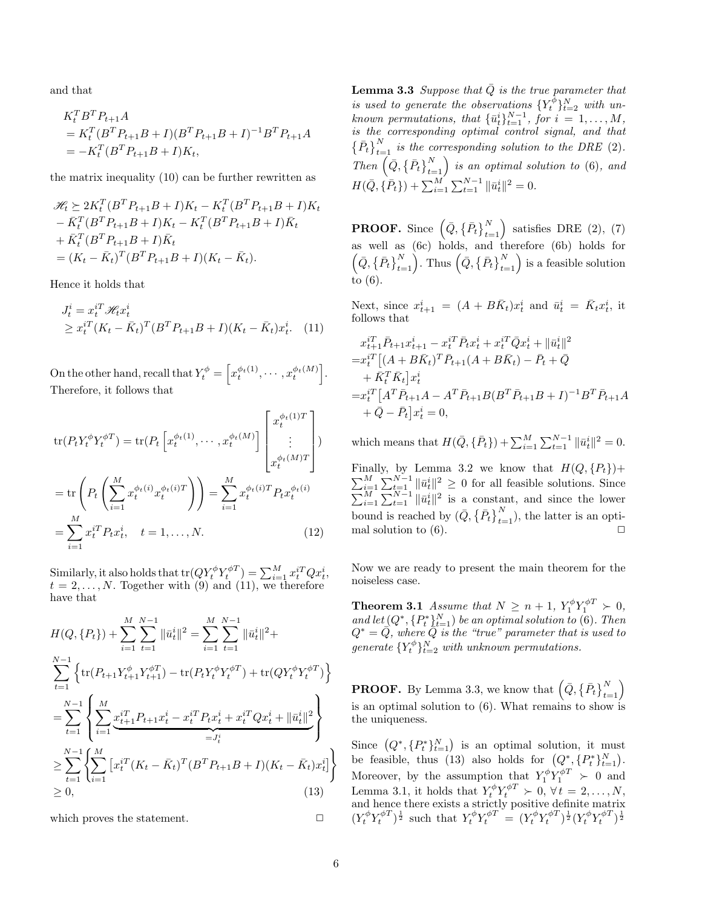and that

$$
K_t^T B^T P_{t+1} A
$$
  
=  $K_t^T (B^T P_{t+1} B + I) (B^T P_{t+1} B + I)^{-1} B^T P_{t+1} A$   
=  $-K_t^T (B^T P_{t+1} B + I) K_t$ ,

the matrix inequality [\(10\)](#page-4-5) can be further rewritten as

$$
\mathcal{H}_t \succeq 2K_t^T (B^T P_{t+1} B + I) K_t - K_t^T (B^T P_{t+1} B + I) K_t \n- \bar{K}_t^T (B^T P_{t+1} B + I) K_t - K_t^T (B^T P_{t+1} B + I) \bar{K}_t \n+ \bar{K}_t^T (B^T P_{t+1} B + I) \bar{K}_t \n= (K_t - \bar{K}_t)^T (B^T P_{t+1} B + I) (K_t - \bar{K}_t).
$$

Hence it holds that

$$
J_t^i = x_t^{i} \mathcal{H}_t x_t^i
$$
  
\n
$$
\geq x_t^{i} (K_t - \bar{K}_t)^T (B^T P_{t+1} B + I)(K_t - \bar{K}_t) x_t^i.
$$
 (11)

On the other hand, recall that  $Y_t^{\phi} = \left[ x_t^{\phi_t(1)}, \cdots, x_t^{\phi_t(M)} \right]$ . Therefore, it follows that

$$
\text{tr}(P_t Y_t^{\phi} Y_t^{\phi T}) = \text{tr}(P_t \left[ x_t^{\phi_t(1)}, \cdots, x_t^{\phi_t(M)} \right] \begin{bmatrix} x_t^{\phi_t(1)T} \\ \vdots \\ x_t^{\phi_t(M)T} \end{bmatrix})
$$
\n
$$
= \text{tr}\left(P_t \left( \sum_{i=1}^M x_t^{\phi_t(i)} x_t^{\phi_t(i)T} \right) \right) = \sum_{i=1}^M x_t^{\phi_t(i)T} P_t x_t^{\phi_t(i)}
$$
\n
$$
= \sum_{i=1}^M x_t^{iT} P_t x_t^i, \quad t = 1, \dots, N. \tag{12}
$$

Similarly, it also holds that  $\text{tr}(QY_t^\phi Y_t^{\phi T}) = \sum_{i=1}^M x_t^{i T} Q x_t^i,$  $t = 2, \ldots, N$ . Together with [\(9\)](#page-4-3) and [\(11\)](#page-5-0), we therefore have that

$$
H(Q, \{P_t\}) + \sum_{i=1}^{M} \sum_{t=1}^{N-1} \|\bar{u}_t^i\|^2 = \sum_{i=1}^{M} \sum_{t=1}^{N-1} \|\bar{u}_t^i\|^2 +
$$
  
\n
$$
\sum_{t=1}^{N-1} \left\{ \text{tr}(P_{t+1}Y_{t+1}^{\phi}Y_{t+1}^{\phi T}) - \text{tr}(P_tY_t^{\phi}Y_t^{\phi T}) + \text{tr}(QY_t^{\phi}Y_t^{\phi T}) \right\}
$$
  
\n
$$
= \sum_{t=1}^{N-1} \left\{ \sum_{i=1}^{M} \underbrace{x_{t+1}^{iT} P_{t+1} x_t^i - x_t^{iT} P_t x_t^i + x_t^{iT} Q x_t^i + \|\bar{u}_t^i\|^2}_{=J_t^i} \right\}
$$
  
\n
$$
\geq \sum_{t=1}^{N-1} \left\{ \sum_{i=1}^{M} \left[ x_t^{iT} (K_t - \bar{K}_t)^T (B^T P_{t+1} B + I)(K_t - \bar{K}_t) x_t^i \right] \right\}
$$
  
\n
$$
\geq 0, \tag{13}
$$

<span id="page-5-1"></span>which proves the statement.  $\Box$ 

**Lemma 3.3** Suppose that  $\overline{Q}$  is the true parameter that is used to generate the observations  $\{Y_t^{\phi}\}_{t=2}^N$  with unknown permutations, that  $\{\bar{u}_t^i\}_{t=1}^{N-1}$ , for  $i = 1, ..., M$ , is the corresponding optimal control signal, and that  $\{ \bar{P}_t \}_{t=1}^N$  is the corresponding solution to the DRE [\(2\)](#page-2-3). Then  $\left(\bar{Q}, \left\{\bar{P}_t\right\}_{t=1}^N\right)$  is an optimal solution to [\(6\)](#page-4-0), and  $H(\bar{Q}, \{\bar{P}_t\}) + \sum_{i=1}^{M} \sum_{t=1}^{N-1} ||\bar{u}_t^i||^2 = 0.$ 

**PROOF.** Since  $(Q, \{\bar{P}_t\}_{t=1}^N)$  satisfies DRE [\(2\)](#page-2-3), [\(7\)](#page-4-6) as well as [\(6c\)](#page-4-7) holds, and therefore [\(6b\)](#page-4-2) holds for  $\left(Q, \left\{\bar{P}_t\right\}_{t=1}^N\right)$ . Thus  $\left(\bar{Q}, \left\{\bar{P}_t\right\}_{t=1}^N\right)$  is a feasible solution to [\(6\)](#page-4-0).

<span id="page-5-0"></span>Next, since  $x_{t+1}^i = (A + B\overline{K}_t)x_t^i$  and  $\overline{u}_t^i = \overline{K}_t x_t^i$ , it follows that

$$
x_{t+1}^{iT} \bar{P}_{t+1} x_{t+1}^i - x_t^{iT} \bar{P}_t x_t^i + x_t^{iT} \bar{Q} x_t^i + ||\bar{u}_t^i||^2
$$
  
\n
$$
= x_t^{iT} [(A + B\bar{K}_t)^T \bar{P}_{t+1} (A + B\bar{K}_t) - \bar{P}_t + \bar{Q}
$$
  
\n
$$
+ \bar{K}_t^T \bar{K}_t] x_t^i
$$
  
\n
$$
= x_t^{iT} [A^T \bar{P}_{t+1} A - A^T \bar{P}_{t+1} B (B^T \bar{P}_{t+1} B + I)^{-1} B^T \bar{P}_{t+1} A
$$
  
\n
$$
+ \bar{Q} - \bar{P}_t] x_t^i = 0,
$$

which means that  $H(\bar{Q}, \{\bar{P}_t\}) + \sum_{i=1}^{M} \sum_{t=1}^{N-1} ||\bar{u}_t^i||^2 = 0.$ 

Finally, by Lemma [3.2](#page-4-1) we know that  $H(Q, \{P_t\})+$  $\sum_{i=1}^{M} \sum_{t=1}^{N-1} \|\bar{u}_t^i\|^2 \geq 0$  for all feasible solutions. Since  $\sum_{i=1}^{M} \sum_{t=1}^{N-1} ||\bar{u}_t^i||^2$  is a constant, and since the lower bound is reached by  $(\bar{Q}, \{\bar{P}_t\}_{t=1}^N)$ , the latter is an optimal solution to  $(6)$ .

<span id="page-5-4"></span><span id="page-5-3"></span>Now we are ready to present the main theorem for the noiseless case.

**Theorem 3.1** Assume that  $N \ge n+1$ ,  $Y_1^{\phi} Y_1^{\phi T} \succ 0$ , and let  $(Q^*, \{P_t^*\}_{t=1}^N)$  be an optimal solution to [\(6\)](#page-4-0). Then  $Q^* = \overrightarrow{Q}$ , where  $\overleftarrow{Q}$  is the "true" parameter that is used to generate  $\{Y_t^{\phi}\}_{t=2}^N$  with unknown permutations.

**PROOF.** By Lemma [3.3,](#page-5-1) we know that  $(Q, \{P_t\}_{t=1}^N)$ is an optimal solution to [\(6\)](#page-4-0). What remains to show is the uniqueness.

<span id="page-5-2"></span>Since  $(Q^*, \{P_t^*\}_{t=1}^N)$  is an optimal solution, it must be feasible, thus [\(13\)](#page-5-2) also holds for  $(Q^*, \{P_t^*\}_{t=1}^N)$ . Moreover, by the assumption that  $Y_1^{\phi} Y_1^{\phi T} > 0$  and Lemma [3.1,](#page-4-8) it holds that  $Y_t^{\phi} Y_t^{\phi T} \succ 0, \forall t = 2, ..., N$ , and hence there exists a strictly positive definite matrix  $(Y_t^{\phi} Y_t^{\phi T})^{\frac{1}{2}}$  such that  $Y_t^{\phi} Y_t^{\phi T} = (Y_t^{\phi} Y_t^{\phi T})^{\frac{1}{2}} (Y_t^{\phi} Y_t^{\phi T})^{\frac{1}{2}}$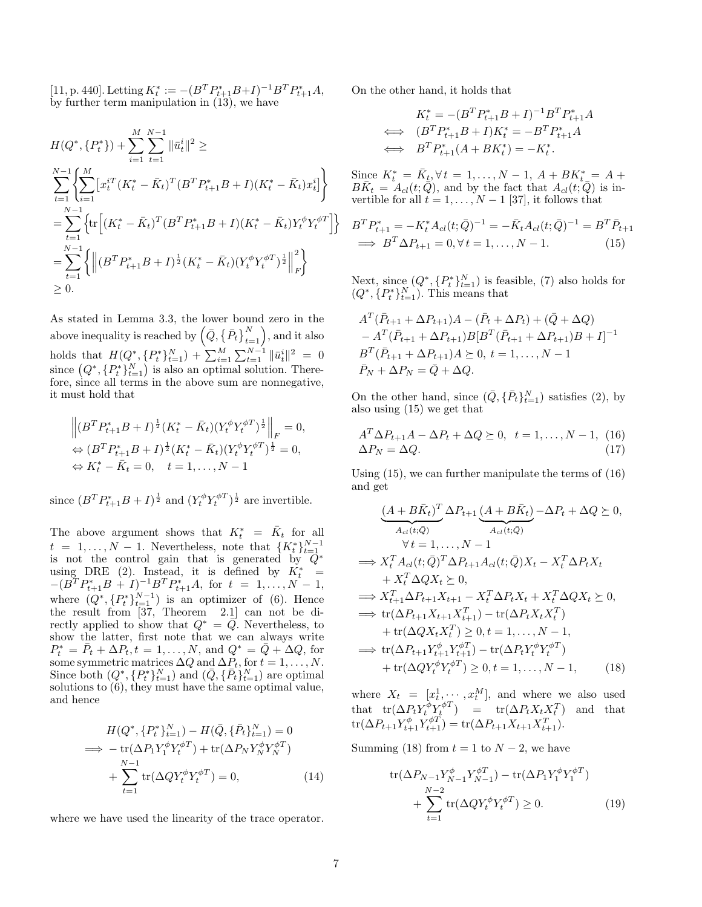[\[11,](#page-15-21) p. 440]. Letting  $K_t^* := -(B^T P_{t+1}^* B + I)^{-1} B^T P_{t+1}^* A,$ by further term manipulation in [\(13\)](#page-5-2), we have

$$
H(Q^*, \{P_t^*\}) + \sum_{i=1}^{M} \sum_{t=1}^{N-1} \|\bar{u}_t^i\|^2 \ge
$$
  
\n
$$
\sum_{t=1}^{N-1} \left\{ \sum_{i=1}^{M} \left[ x_t^{iT} (K_t^* - \bar{K}_t)^T (B^T P_{t+1}^* B + I)(K_t^* - \bar{K}_t) x_t^i \right] \right\}
$$
  
\n
$$
= \sum_{t=1}^{N-1} \left\{ \text{tr} \left[ (K_t^* - \bar{K}_t)^T (B^T P_{t+1}^* B + I)(K_t^* - \bar{K}_t) Y_t^{\phi} Y_t^{\phi T} \right] \right\}
$$
  
\n
$$
= \sum_{t=1}^{N-1} \left\{ \left\| (B^T P_{t+1}^* B + I)^{\frac{1}{2}} (K_t^* - \bar{K}_t) (Y_t^{\phi} Y_t^{\phi T})^{\frac{1}{2}} \right\|_F^2 \right\}
$$
  
\n
$$
\geq 0.
$$

As stated in Lemma [3.3,](#page-5-1) the lower bound zero in the above inequality is reached by  $\left(\bar{Q}, \left\{\bar{P}_t\right\}_{t=1}^N\right)$ , and it also holds that  $H(Q^*, \{P_t^*\}_{t=1}^N) + \sum_{i=1}^M \sum_{t=1}^{N-1} ||\bar{u}_t^i||^2 = 0$ since  $(Q^*, \{P_t^*\}_{t=1}^N)$  is also an optimal solution. Therefore, since all terms in the above sum are nonnegative, it must hold that

$$
\left\| (B^T P_{t+1}^* B + I)^{\frac{1}{2}} (K_t^* - \bar{K}_t) (Y_t^{\phi} Y_t^{\phi T})^{\frac{1}{2}} \right\|_F = 0,
$$
  
\n
$$
\Leftrightarrow (B^T P_{t+1}^* B + I)^{\frac{1}{2}} (K_t^* - \bar{K}_t) (Y_t^{\phi} Y_t^{\phi T})^{\frac{1}{2}} = 0,
$$
  
\n
$$
\Leftrightarrow K_t^* - \bar{K}_t = 0, \quad t = 1, ..., N - 1
$$

since  $(B^T P_{t+1}^* B + I)^{\frac{1}{2}}$  and  $(Y_t^{\phi} Y_t^{\phi T})^{\frac{1}{2}}$  are invertible.

The above argument shows that  $K_t^* = \bar{K}_t$  for all  $t = 1, \ldots, N - 1$ . Nevertheless, note that  $\{K_t^*\}_{t=1}^{N-1}$ is not the control gain that is generated by  $\overline{Q}^*$ using DRE [\(2\)](#page-2-3). Instead, it is defined by  $K_t^* =$  $-(B^T P_{t+1}^* B + I)^{-1} B^T P_{t+1}^* A$ , for  $t = 1, ..., N - 1$ , where  $(Q^*, \{P_t^*\}_{t=1}^{N-1})$  is an optimizer of [\(6\)](#page-4-0). Hence the result from [\[37,](#page-15-10) Theorem 2.1] can not be directly applied to show that  $Q^* = \overline{Q}$ . Nevertheless, to show the latter, first note that we can always write  $P_t^* = \bar{P}_t + \Delta P_t, t = 1, ..., N$ , and  $Q^* = \bar{Q} + \Delta Q$ , for some symmetric matrices  $\Delta Q$  and  $\Delta P_t$ , for  $t = 1, ..., N$ . Since both  $(Q^*, \{P_t^*\}_{t=1}^N)$  and  $(\bar{Q}, \{\bar{P}_t\}_{t=1}^N)$  are optimal solutions to [\(6\)](#page-4-0), they must have the same optimal value, and hence

$$
H(Q^*, \{P_t^*\}_{t=1}^N) - H(\bar{Q}, \{\bar{P}_t\}_{t=1}^N) = 0
$$
  
\n
$$
\implies -\operatorname{tr}(\Delta P_1 Y_1^{\phi} Y_t^{\phi T}) + \operatorname{tr}(\Delta P_N Y_N^{\phi} Y_N^{\phi T})
$$
  
\n
$$
+ \sum_{t=1}^{N-1} \operatorname{tr}(\Delta Q Y_t^{\phi} Y_t^{\phi T}) = 0,
$$
\n(14)

where we have used the linearity of the trace operator.

On the other hand, it holds that

<span id="page-6-0"></span>
$$
K_t^* = -(B^T P_{t+1}^* B + I)^{-1} B^T P_{t+1}^* A
$$
  
\n
$$
\iff (B^T P_{t+1}^* B + I) K_t^* = -B^T P_{t+1}^* A
$$
  
\n
$$
\iff B^T P_{t+1}^* (A + B K_t^*) = -K_t^*.
$$

Since  $K_t^* = \overline{K_t}, \forall t = 1, ..., N - 1, A + BK_{t-}^* = A +$  $B\bar{K}_t = A_{cl}(t;\bar{Q})$ , and by the fact that  $A_{cl}(t;\bar{Q})$  is invertible for all  $t = 1, \ldots, N - 1$  [\[37\]](#page-15-10), it follows that

$$
B^T P_{t+1}^* = -K_t^* A_{cl}(t; \bar{Q})^{-1} = -\bar{K}_t A_{cl}(t; \bar{Q})^{-1} = B^T \bar{P}_{t+1}
$$
  
\n
$$
\implies B^T \Delta P_{t+1} = 0, \forall t = 1, ..., N - 1.
$$
 (15)

Next, since  $(Q^*, \{P_t^*\}_{t=1}^N)$  is feasible, [\(7\)](#page-4-6) also holds for  $(Q^*, \{P_t^*\}_{t=1}^N)$ . This means that

$$
A^T(\bar{P}_{t+1} + \Delta P_{t+1})A - (\bar{P}_t + \Delta P_t) + (\bar{Q} + \Delta Q) - A^T(\bar{P}_{t+1} + \Delta P_{t+1})B[B^T(\bar{P}_{t+1} + \Delta P_{t+1})B + I]^{-1} B^T(\bar{P}_{t+1} + \Delta P_{t+1})A \succeq 0, t = 1, ..., N - 1 \bar{P}_N + \Delta P_N = \bar{Q} + \Delta Q.
$$

On the other hand, since  $(\bar{Q}, {\{\bar{P}_t\}}_{t=1}^N)$  satisfies [\(2\)](#page-2-3), by also using [\(15\)](#page-6-0) we get that

<span id="page-6-1"></span>
$$
A^T \Delta P_{t+1} A - \Delta P_t + \Delta Q \succeq 0, \quad t = 1, \dots, N - 1, \tag{16}
$$
  

$$
\Delta P_N = \Delta Q. \tag{17}
$$

Using [\(15\)](#page-6-0), we can further manipulate the terms of [\(16\)](#page-6-1) and get

$$
\underbrace{(A+B\bar{K}_t)^T}_{A_{cl}(t;\bar{Q})}\Delta P_{t+1}\underbrace{(A+B\bar{K}_t)}_{A_{cl}(t;\bar{Q})}-\Delta P_t+\Delta Q\succeq 0,
$$
\n
$$
\forall t=1,\ldots,N-1
$$
\n
$$
\implies X_t^T A_{cl}(t;\bar{Q})^T \Delta P_{t+1} A_{cl}(t;\bar{Q})X_t-X_t^T \Delta P_t X_t
$$
\n
$$
+ X_t^T \Delta Q X_t \succeq 0,
$$
\n
$$
\implies X_{t+1}^T \Delta P_{t+1} X_{t+1} - X_t^T \Delta P_t X_t + X_t^T \Delta Q X_t \succeq 0,
$$
\n
$$
\implies \text{tr}(\Delta P_{t+1} X_{t+1} X_{t+1}^T) - \text{tr}(\Delta P_t X_t X_t^T)
$$
\n
$$
+ \text{tr}(\Delta Q X_t X_t^T) \geq 0, t = 1,\ldots,N-1,
$$
\n
$$
\implies \text{tr}(\Delta P_{t+1} Y_{t+1}^{\phi}) - \text{tr}(\Delta P_t Y_t^{\phi})^T
$$
\n
$$
+ \text{tr}(\Delta Q Y_t^{\phi})^T Y_t^{\phi}) \geq 0, t = 1,\ldots,N-1,
$$
\n(18)

where  $X_t = [x_t^1, \dots, x_t^M]$ , and where we also used that  $tr(\Delta P_t Y_t^{\phi} Y_t^{\phi T}) = tr(\Delta P_t X_t X_t^T)$  and that  $\text{tr}(\Delta P_{t+1} Y_{t+1}^{\phi} Y_{t+1}^{\phi T}) = \text{tr}(\Delta P_{t+1} X_{t+1} X_{t+1}^T).$ 

<span id="page-6-3"></span>Summing [\(18\)](#page-6-2) from  $t = 1$  to  $N - 2$ , we have

<span id="page-6-4"></span><span id="page-6-2"></span>
$$
\text{tr}(\Delta P_{N-1} Y_{N-1}^{\phi} Y_{N-1}^{\phi T}) - \text{tr}(\Delta P_1 Y_1^{\phi} Y_1^{\phi T}) + \sum_{t=1}^{N-2} \text{tr}(\Delta Q Y_t^{\phi} Y_t^{\phi T}) \ge 0.
$$
 (19)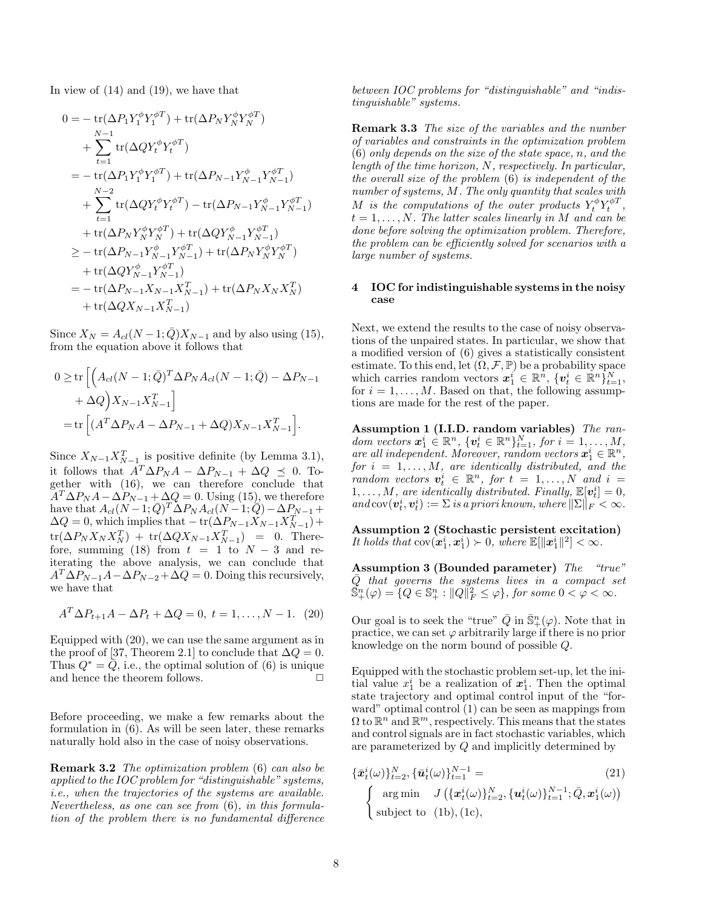In view of [\(14\)](#page-6-3) and [\(19\)](#page-6-4), we have that

$$
0 = -\operatorname{tr}(\Delta P_1 Y_1^{\phi} Y_1^{\phi T}) + \operatorname{tr}(\Delta P_N Y_N^{\phi} Y_N^{\phi T})
$$
  
+ 
$$
\sum_{t=1}^{N-1} \operatorname{tr}(\Delta Q Y_t^{\phi} Y_t^{\phi T})
$$
  
= 
$$
-\operatorname{tr}(\Delta P_1 Y_1^{\phi} Y_1^{\phi T}) + \operatorname{tr}(\Delta P_{N-1} Y_{N-1}^{\phi} Y_{N-1}^{\phi T})
$$
  
+ 
$$
\sum_{t=1}^{N-2} \operatorname{tr}(\Delta Q Y_t^{\phi} Y_t^{\phi T}) - \operatorname{tr}(\Delta P_{N-1} Y_{N-1}^{\phi} Y_{N-1}^{\phi T})
$$
  
+ 
$$
\operatorname{tr}(\Delta P_N Y_N^{\phi} Y_N^{\phi T}) + \operatorname{tr}(\Delta Q Y_{N-1}^{\phi} Y_{N-1}^{\phi T})
$$
  

$$
\geq -\operatorname{tr}(\Delta P_{N-1} Y_{N-1}^{\phi} Y_{N-1}^{\phi T}) + \operatorname{tr}(\Delta P_N Y_N^{\phi} Y_N^{\phi T})
$$
  
+ 
$$
\operatorname{tr}(\Delta Q Y_{N-1}^{\phi} Y_{N-1}^{\phi T}) + \operatorname{tr}(\Delta P_N X_N X_N^T)
$$
  
+ 
$$
\operatorname{tr}(\Delta Q X_{N-1} X_{N-1}^T)
$$

Since  $X_N = A_{cl}(N-1; \bar{Q})X_{N-1}$  and by also using [\(15\)](#page-6-0), from the equation above it follows that

$$
0 \ge \text{tr}\left[\left(A_{cl}(N-1;\bar{Q})^T\Delta P_N A_{cl}(N-1;\bar{Q}) - \Delta P_{N-1} + \Delta Q\right)X_{N-1}X_{N-1}^T\right]
$$

$$
= \text{tr}\left[\left(A^T\Delta P_NA - \Delta P_{N-1} + \Delta Q\right)X_{N-1}X_{N-1}^T\right].
$$

Since  $X_{N-1}X_{N-1}^T$  is positive definite (by Lemma [3.1\)](#page-4-8), it follows that  $A^T \Delta P_N A - \Delta P_{N-1} + \Delta Q \preceq 0$ . Together with [\(16\)](#page-6-1), we can therefore conclude that  $A^T \Delta P_N A - \Delta P_{N-1} + \Delta Q = 0$ . Using [\(15\)](#page-6-0), we therefore have that  $A_{cl}(N-1;\bar{Q})^T\Delta P_N A_{cl}(N-1;\bar{Q}) - \Delta P_{N-1} +$  $\Delta Q = 0$ , which implies that  $-\operatorname{tr}(\Delta P_{N-1} X_{N-1}^T X_{N-1}^T) +$  $\text{tr}(\Delta P_N X_N X_N^T) + \text{tr}(\Delta Q X_{N-1} X_{N-1}^T) = 0.$  There-fore, summing [\(18\)](#page-6-2) from  $t = 1$  to  $N - 3$  and reiterating the above analysis, we can conclude that  $A^T \Delta P_{N-1}A - \Delta P_{N-2} + \Delta Q = 0$ . Doing this recursively, we have that

$$
A^T \Delta P_{t+1} A - \Delta P_t + \Delta Q = 0, \ t = 1, ..., N - 1. \tag{20}
$$

Equipped with [\(20\)](#page-7-1), we can use the same argument as in the proof of [\[37,](#page-15-10) Theorem 2.1] to conclude that  $\Delta Q = 0$ . Thus  $Q^* = Q$ , i.e., the optimal solution of [\(6\)](#page-4-0) is unique and hence the theorem follows.  $\Box$ 

Before proceeding, we make a few remarks about the formulation in [\(6\)](#page-4-0). As will be seen later, these remarks naturally hold also in the case of noisy observations.

Remark 3.2 The optimization problem [\(6\)](#page-4-0) can also be applied to the IOC problem for "distinguishable" systems, i.e., when the trajectories of the systems are available. Nevertheless, as one can see from [\(6\)](#page-4-0), in this formulation of the problem there is no fundamental difference between IOC problems for "distinguishable" and "indistinguishable" systems.

<span id="page-7-6"></span>Remark 3.3 The size of the variables and the number of variables and constraints in the optimization problem [\(6\)](#page-4-0) only depends on the size of the state space, n, and the length of the time horizon, N, respectively. In particular, the overall size of the problem [\(6\)](#page-4-0) is independent of the number of systems, M. The only quantity that scales with M is the computations of the outer products  $Y_t^{\phi} Y_t^{\phi T}$ ,  $t = 1, \ldots, N$ . The latter scales linearly in M and can be done before solving the optimization problem. Therefore, the problem can be efficiently solved for scenarios with a large number of systems.

#### <span id="page-7-0"></span>4 IOC for indistinguishable systems in the noisy case

Next, we extend the results to the case of noisy observations of the unpaired states. In particular, we show that a modified version of [\(6\)](#page-4-0) gives a statistically consistent estimate. To this end, let  $(\Omega, \mathcal{F}, \mathbb{P})$  be a probability space which carries random vectors  $\mathbf{x}_1^i \in \mathbb{R}^n$ ,  $\{\mathbf{v}_t^i \in \mathbb{R}^n\}_{t=1}^N$ , for  $i = 1, \ldots, M$ . Based on that, the following assumptions are made for the rest of the paper.

<span id="page-7-2"></span>Assumption 1 (I.I.D. random variables) The random vectors  $\mathbf{x}_1^i \in \mathbb{R}^n$ ,  $\{\mathbf{v}_t^i \in \mathbb{R}^n\}_{t=1}^N$ , for  $i = 1, ..., M$ , are all independent. Moreover, random vectors  $\boldsymbol{x}_1^i \in \mathbb{R}^n$ , for  $i = 1, \ldots, M$ , are identically distributed, and the random vectors  $\mathbf{v}_t^i \in \mathbb{R}^n$ , for  $t = 1, ..., N$  and  $i =$  $1, \ldots, M$ , are identically distributed. Finally,  $\mathbb{E}[\mathbf{v}_t^i] = 0$ , and  $\text{cov}(\boldsymbol{v}_t^i, \boldsymbol{v}_t^i) := \sum \text{ is a priori known}, \text{where } ||\sum||_F < \infty.$ 

<span id="page-7-4"></span>Assumption 2 (Stochastic persistent excitation) It holds that  $cov(\mathbf{x}_1^i, \mathbf{x}_1^i) \succ 0$ , where  $\mathbb{E}[\|\mathbf{x}_1^i\|^2] < \infty$ .

<span id="page-7-5"></span>Assumption 3 (Bounded parameter) The "true"  $\bar{Q}$  that governs the systems lives in a compact set  $\mathbb{S}_{+}^{n}(\varphi) = \{Q \in \mathbb{S}_{+}^{n}: ||Q||_{F}^{2} \leq \varphi\}, \textit{for some } 0 < \varphi < \infty.$ 

<span id="page-7-1"></span>Our goal is to seek the "true"  $\overline{Q}$  in  $\overline{\mathbb{S}}_+^n(\varphi)$ . Note that in practice, we can set  $\varphi$  arbitrarily large if there is no prior knowledge on the norm bound of possible Q.

Equipped with the stochastic problem set-up, let the initial value  $x_1^i$  be a realization of  $x_1^i$ . Then the optimal state trajectory and optimal control input of the "forward" optimal control [\(1\)](#page-2-1) can be seen as mappings from  $\Omega$  to  $\mathbb{R}^n$  and  $\mathbb{R}^m$ , respectively. This means that the states and control signals are in fact stochastic variables, which are parameterized by Q and implicitly determined by

<span id="page-7-3"></span>
$$
\{\bar{\boldsymbol{x}}_t^i(\omega)\}_{t=2}^N, \{\bar{\boldsymbol{u}}_t^i(\omega)\}_{t=1}^{N-1} = (21)
$$
\n
$$
\begin{cases}\n\arg \min J\left(\{\boldsymbol{x}_t^i(\omega)\}_{t=2}^N, \{\boldsymbol{u}_t^i(\omega)\}_{t=1}^{N-1}; \bar{Q}, \boldsymbol{x}_1^i(\omega)\right) \\
\text{subject to} \quad (1b), (1c),\n\end{cases} (21)
$$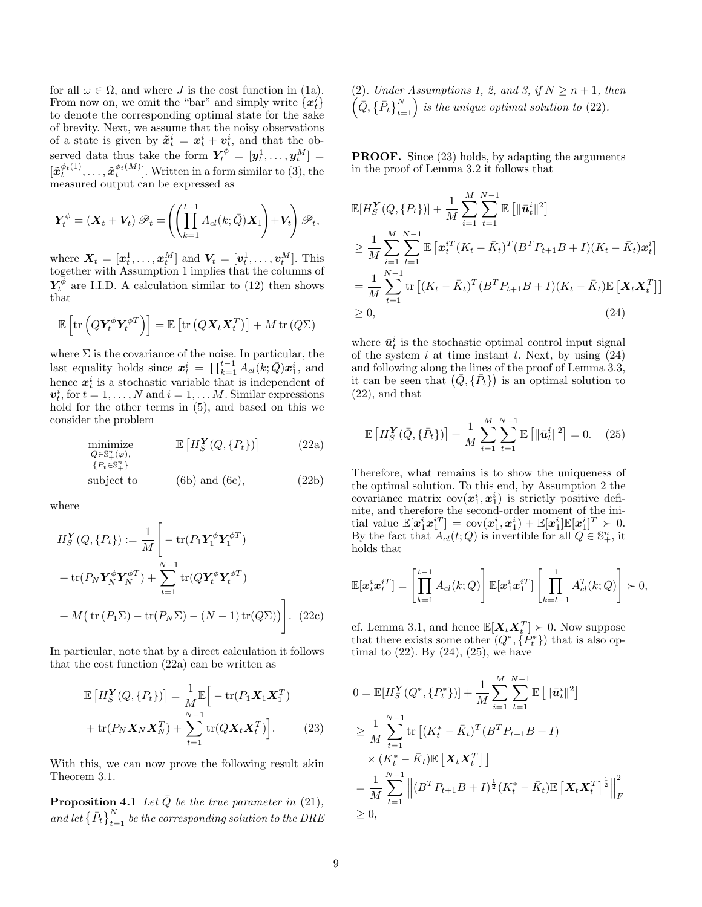for all  $\omega \in \Omega$ , and where J is the cost function in [\(1a\)](#page-2-6). From now on, we omit the "bar" and simply write  $\{\boldsymbol{x}_{t}^{i}\}$ to denote the corresponding optimal state for the sake of brevity. Next, we assume that the noisy observations of a state is given by  $\tilde{x}_t^i = x_t^i + v_t^i$ , and that the observed data thus take the form  $\boldsymbol{Y}_t^{\phi} = [\boldsymbol{y}_t^1, \dots, \boldsymbol{y}_t^M] =$  $[\tilde{\boldsymbol{x}}_t^{\phi_t(1)}, \dots, \tilde{\boldsymbol{x}}_t^{\phi_t(M)}]$ . Written in a form similar to [\(3\)](#page-2-7), the measured output can be expressed as

$$
\boldsymbol{Y}_t^\phi = (\boldsymbol{X}_t + \boldsymbol{V}_t) \mathscr{P}_t = \left( \left( \prod_{k=1}^{t-1} A_{cl}(k; \bar{Q}) \boldsymbol{X}_1 \right) + \boldsymbol{V}_t \right) \mathscr{P}_t,
$$

where  $\boldsymbol{X}_t = [\boldsymbol{x}_t^1, \dots, \boldsymbol{x}_t^M]$  and  $\boldsymbol{V}_t = [\boldsymbol{v}_t^1, \dots, \boldsymbol{v}_t^M]$ . This together with Assumption [1](#page-7-2) implies that the columns of  $Y_t^{\phi}$  are I.I.D. A calculation similar to [\(12\)](#page-5-3) then shows that

$$
\mathbb{E}\left[\text{tr}\left(Q\mathbf{Y}_t^{\phi}\mathbf{Y}_t^{\phi T}\right)\right] = \mathbb{E}\left[\text{tr}\left(Q\mathbf{X}_t\mathbf{X}_t^T\right)\right] + M \text{ tr}\left(Q\Sigma\right)
$$

where  $\Sigma$  is the covariance of the noise. In particular, the last equality holds since  $\mathbf{x}_t^i = \prod_{k=1}^{t-1} A_{cl}(k; \bar{Q}) \mathbf{x}_1^i$ , and hence  $x_t^i$  is a stochastic variable that is independent of  $v_t^i$ , for  $t = 1, ..., N$  and  $i = 1, ..., M$ . Similar expressions hold for the other terms in [\(5\)](#page-3-2), and based on this we consider the problem

<span id="page-8-1"></span>
$$
\begin{array}{ll}\n\text{minimize} & \mathbb{E}\left[H_S^{\mathbf{Y}}(Q, \{P_t\})\right] & \text{(22a)} \\
\text{ } Q \in \mathbb{S}_+^n(\varphi), \\
\text{ } \{P_t \in \mathbb{S}_+^n\} & \text{subject to} & \text{(6b) and (6c)},\n\end{array}
$$
\n
$$
\tag{22b}
$$

where

$$
H_S^{\mathbf{Y}}(Q, \{P_t\}) := \frac{1}{M} \left[ -\operatorname{tr}(P_1 \mathbf{Y}_1^{\phi} \mathbf{Y}_1^{\phi T}) + \operatorname{tr}(P_N \mathbf{Y}_N^{\phi} \mathbf{Y}_N^{\phi T}) + \sum_{t=1}^{N-1} \operatorname{tr}(Q \mathbf{Y}_t^{\phi} \mathbf{Y}_t^{\phi T}) + M \left( \operatorname{tr}(P_1 \Sigma) - \operatorname{tr}(P_N \Sigma) - (N-1) \operatorname{tr}(Q \Sigma) \right) \right].
$$
 (22c)

In particular, note that by a direct calculation it follows that the cost function [\(22a\)](#page-8-0) can be written as

$$
\mathbb{E}\left[H_S^{\mathbf{Y}}(Q, \{P_t\})\right] = \frac{1}{M} \mathbb{E}\left[-\text{tr}(P_1 \mathbf{X}_1 \mathbf{X}_1^T) + \text{tr}(P_N \mathbf{X}_N \mathbf{X}_N^T) + \sum_{t=1}^{N-1} \text{tr}(Q \mathbf{X}_t \mathbf{X}_t^T)\right].
$$
\n(23)

With this, we can now prove the following result akin Theorem [3.1.](#page-5-4)

<span id="page-8-6"></span>**Proposition 4.1** Let  $\overline{Q}$  be the true parameter in [\(21\)](#page-7-3), and let  $\left\{\bar{P}_t\right\}_{t=1}^N$  be the corresponding solution to the DRE [\(2\)](#page-2-3). Under Assumptions [1,](#page-7-2) [2,](#page-7-4) and [3,](#page-7-5) if  $N \geq n+1$ , then  $\left(\bar{Q}, \left\{\bar{P}_t\right\}_{t=1}^N\right)$  is the unique optimal solution to [\(22\)](#page-8-1).

**PROOF.** Since [\(23\)](#page-8-2) holds, by adapting the arguments in the proof of Lemma [3.2](#page-4-1) it follows that

$$
\mathbb{E}[H_S^{\mathbf{Y}}(Q, \{P_t\})] + \frac{1}{M} \sum_{i=1}^M \sum_{t=1}^{N-1} \mathbb{E} [\|\bar{\mathbf{u}}_t^i\|^2]
$$
\n
$$
\geq \frac{1}{M} \sum_{i=1}^M \sum_{t=1}^{N-1} \mathbb{E} [\mathbf{x}_t^{iT} (K_t - \bar{K}_t)^T (B^T P_{t+1} B + I)(K_t - \bar{K}_t) \mathbf{x}_t^i]
$$
\n
$$
= \frac{1}{M} \sum_{t=1}^{N-1} \text{tr} [ (K_t - \bar{K}_t)^T (B^T P_{t+1} B + I)(K_t - \bar{K}_t) \mathbb{E} [\mathbf{X}_t \mathbf{X}_t^T ] ]
$$
\n
$$
\geq 0,
$$
\n(24)

<span id="page-8-3"></span>where  $\bar{u}_t^i$  is the stochastic optimal control input signal of the system i at time instant t. Next, by using  $(24)$ and following along the lines of the proof of Lemma [3.3,](#page-5-1) it can be seen that  $(\bar{Q}, {\bar{P}_t})$  is an optimal solution to [\(22\)](#page-8-1), and that

<span id="page-8-4"></span>
$$
\mathbb{E}\left[H_S^{\mathbf{Y}}(\bar{Q}, \{\bar{P}_t\})\right] + \frac{1}{M} \sum_{i=1}^{M} \sum_{t=1}^{N-1} \mathbb{E}\left[\|\bar{u}_t^i\|^2\right] = 0. \quad (25)
$$

<span id="page-8-0"></span>Therefore, what remains is to show the uniqueness of the optimal solution. To this end, by Assumption [2](#page-7-4) the covariance matrix  $cov(x_1^i, x_1^i)$  is strictly positive definite, and therefore the second-order moment of the initial value  $\mathbb{E}[\boldsymbol{x}_1^i \boldsymbol{x}_1^{iT}] = \text{cov}(\boldsymbol{x}_1^i, \boldsymbol{x}_1^i) + \mathbb{E}[\boldsymbol{x}_1^i] \mathbb{E}[\boldsymbol{x}_1^i]^T \succ 0.$ By the fact that  $A_{cl}(t; Q)$  is invertible for all  $Q \in \mathbb{S}_{+}^{n}$ , it holds that

$$
\mathbb{E}[\boldsymbol{x}_t^i \boldsymbol{x}_t^{iT}] = \left[\prod_{k=1}^{t-1} A_{cl}(k; Q)\right] \mathbb{E}[\boldsymbol{x}_1^i \boldsymbol{x}_1^{iT}] \left[\prod_{k=t-1}^{1} A_{cl}^T(k; Q)\right] \succ 0,
$$

<span id="page-8-5"></span>cf. Lemma [3.1,](#page-4-8) and hence  $\mathbb{E}[X_t X_t^T] \succ 0$ . Now suppose that there exists some other  $(Q^*, \{P_t^*\})$  that is also optimal to  $(22)$ . By  $(24)$ ,  $(25)$ , we have

<span id="page-8-2"></span>
$$
0 = \mathbb{E}[H_S^{\mathbf{Y}}(Q^*, \{P_t^*\})] + \frac{1}{M} \sum_{i=1}^M \sum_{t=1}^{N-1} \mathbb{E}[\|\bar{\mathbf{u}}_t^i\|^2]
$$
  
\n
$$
\geq \frac{1}{M} \sum_{t=1}^{N-1} \text{tr}\left[ (K_t^* - \bar{K}_t)^T (B^T P_{t+1} B + I) \times (K_t^* - \bar{K}_t) \mathbb{E}\left[ \mathbf{X}_t \mathbf{X}_t^T \right] \right]
$$
  
\n
$$
= \frac{1}{M} \sum_{t=1}^{N-1} \left\| (B^T P_{t+1} B + I)^{\frac{1}{2}} (K_t^* - \bar{K}_t) \mathbb{E}\left[ \mathbf{X}_t \mathbf{X}_t^T \right]^{\frac{1}{2}} \right\|_F^2
$$
  
\n
$$
\geq 0,
$$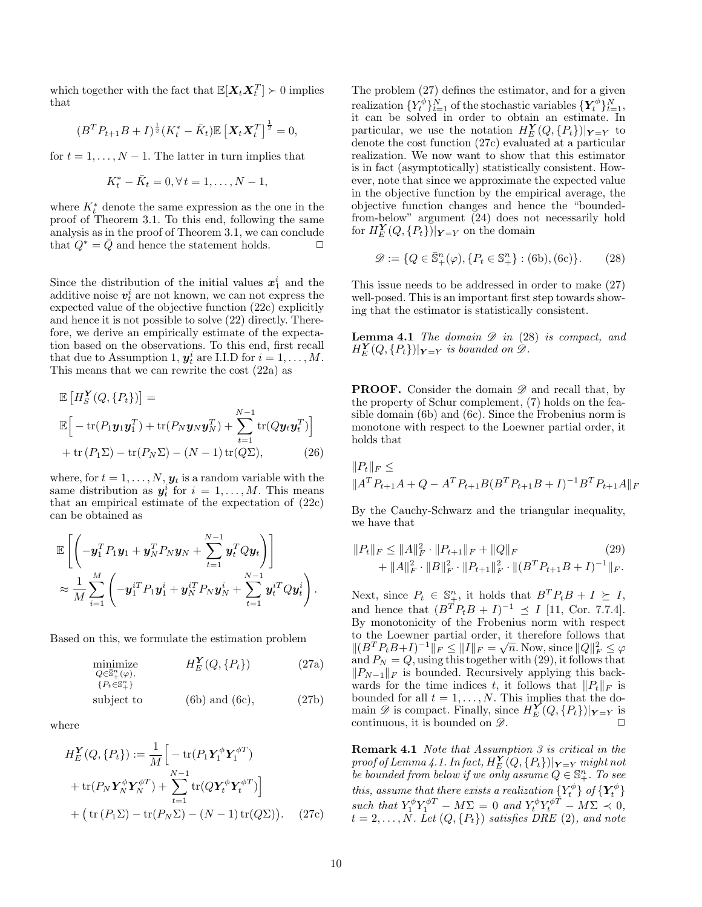which together with the fact that  $\mathbb{E}[\boldsymbol{X}_t \boldsymbol{X}_t^T] \succ 0$  implies that

$$
(B^T P_{t+1} B + I)^{\frac{1}{2}} (K_t^* - \bar{K}_t) \mathbb{E} \left[ \mathbf{X}_t \mathbf{X}_t^T \right]^{\frac{1}{2}} = 0,
$$

for  $t = 1, \ldots, N - 1$ . The latter in turn implies that

$$
K_t^* - \bar{K}_t = 0, \forall t = 1, \dots, N - 1,
$$

where  $K_t^*$  denote the same expression as the one in the proof of Theorem [3.1.](#page-5-4) To this end, following the same analysis as in the proof of Theorem [3.1,](#page-5-4) we can conclude that  $Q^* = \overline{Q}$  and hence the statement holds.  $\Box$ 

Since the distribution of the initial values  $x_1^i$  and the additive noise  $v_t^i$  are not known, we can not express the expected value of the objective function [\(22c\)](#page-8-5) explicitly and hence it is not possible to solve [\(22\)](#page-8-1) directly. Therefore, we derive an empirically estimate of the expectation based on the observations. To this end, first recall that due to Assumption [1,](#page-7-2)  $y_t^i$  are I.I.D for  $i = 1, ..., M$ . This means that we can rewrite the cost [\(22a\)](#page-8-0) as

$$
\mathbb{E}\left[H_S^{\mathbf{Y}}(Q, \{P_t\})\right] =
$$
\n
$$
\mathbb{E}\left[-\text{tr}(P_1\mathbf{y}_1\mathbf{y}_1^T) + \text{tr}(P_N\mathbf{y}_N\mathbf{y}_N^T) + \sum_{t=1}^{N-1} \text{tr}(Q\mathbf{y}_t\mathbf{y}_t^T)\right]
$$
\n
$$
+\text{tr}(P_1\Sigma) - \text{tr}(P_N\Sigma) - (N-1)\text{tr}(Q\Sigma), \qquad (26)
$$

where, for  $t = 1, \ldots, N$ ,  $y_t$  is a random variable with the same distribution as  $y_t^i$  for  $i = 1, ..., M$ . This means that an empirical estimate of the expectation of [\(22c\)](#page-8-5) can be obtained as

$$
\mathbb{E}\left[\left(-\boldsymbol{y}_1^T P_1 \boldsymbol{y}_1 + \boldsymbol{y}_N^T P_N \boldsymbol{y}_N + \sum_{t=1}^{N-1} \boldsymbol{y}_t^T Q \boldsymbol{y}_t\right)\right] \n\approx \frac{1}{M} \sum_{i=1}^M \left(-\boldsymbol{y}_1^{iT} P_1 \boldsymbol{y}_1^i + \boldsymbol{y}_N^{iT} P_N \boldsymbol{y}_N^i + \sum_{t=1}^{N-1} \boldsymbol{y}_t^{iT} Q \boldsymbol{y}_t^i\right).
$$

Based on this, we formulate the estimation problem

$$
\begin{array}{ll}\n\text{minimize} & H_E^{\mathbf{Y}}(Q, \{P_t\}) \\
Q \in \mathbb{S}_+^n(\varphi), \\
\{P_t \in \mathbb{S}_+^n\}\n\end{array} \tag{27a}
$$

subject to 
$$
(6b)
$$
 and  $(6c)$ ,  $(27b)$ 

where

$$
H_E^{\mathbf{Y}}(Q, \{P_t\}) := \frac{1}{M} \Big[ -\text{tr}(P_1 \mathbf{Y}_1^{\phi} \mathbf{Y}_1^{\phi T}) + \text{tr}(P_N \mathbf{Y}_N^{\phi} \mathbf{Y}_N^{\phi T}) + \sum_{t=1}^{N-1} \text{tr}(Q \mathbf{Y}_t^{\phi} \mathbf{Y}_t^{\phi T}) \Big] + \big( \text{tr}(P_1 \Sigma) - \text{tr}(P_N \Sigma) - (N-1) \text{tr}(Q \Sigma) \big). \tag{27c}
$$

The problem [\(27\)](#page-9-0) defines the estimator, and for a given realization  $\{Y_t^{\phi}\}_{t=1}^N$  of the stochastic variables  $\{Y_t^{\phi}\}_{t=1}^N$ , it can be solved in order to obtain an estimate. In particular, we use the notation  $H_E^{\mathbf{Y}}(Q, \{P_t\})|_{\mathbf{Y}=Y}$  to denote the cost function [\(27c\)](#page-9-1) evaluated at a particular realization. We now want to show that this estimator is in fact (asymptotically) statistically consistent. However, note that since we approximate the expected value in the objective function by the empirical average, the objective function changes and hence the "boundedfrom-below" argument [\(24\)](#page-8-3) does not necessarily hold for  $H_E^{\mathbf{Y}}(Q, {P_t})$ )  $|_{\mathbf{Y}=Y}$  on the domain

<span id="page-9-2"></span>
$$
\mathcal{D} := \{ Q \in \bar{\mathbb{S}}_+^n(\varphi), \{ P_t \in \mathbb{S}_+^n \} : (6b), (6c) \}.
$$
 (28)

This issue needs to be addressed in order to make [\(27\)](#page-9-0) well-posed. This is an important first step towards showing that the estimator is statistically consistent.

<span id="page-9-4"></span>**Lemma 4.1** The domain  $\mathscr{D}$  in [\(28\)](#page-9-2) is compact, and  $H_E^{\mathbf{Y}}(Q, \{P_t\})|_{\mathbf{Y}=Y}$  is bounded on  $\mathscr{D}$ .

**PROOF.** Consider the domain  $\mathscr{D}$  and recall that, by the property of Schur complement, [\(7\)](#page-4-6) holds on the feasible domain [\(6b\)](#page-4-2) and [\(6c\)](#page-4-7). Since the Frobenius norm is monotone with respect to the Loewner partial order, it holds that

<span id="page-9-5"></span>
$$
||P_t||_F \le
$$
  

$$
||A^T P_{t+1} A + Q - A^T P_{t+1} B (B^T P_{t+1} B + I)^{-1} B^T P_{t+1} A||_F
$$

By the Cauchy-Schwarz and the triangular inequality, we have that

<span id="page-9-3"></span>
$$
||P_t||_F \le ||A||_F^2 \cdot ||P_{t+1}||_F + ||Q||_F \tag{29}
$$
  
+  $||A||_F^2 \cdot ||B||_F^2 \cdot ||P_{t+1}||_F^2 \cdot ||(B^T P_{t+1} B + I)^{-1}||_F.$ 

<span id="page-9-0"></span>Next, since  $P_t \in \mathbb{S}_{+}^n$ , it holds that  $B^T P_t B + I \succeq I$ , and hence that  $(B^T P_t B + I)^{-1} \preceq I$  [\[11,](#page-15-21) Cor. 7.7.4]. By monotonicity of the Frobenius norm with respect to the Loewner partial order, it therefore follows that  $||(B^T P_t B + I)^{-1}||_F \le ||I||_F = \sqrt{n}$ . Now, since  $||Q||_F^2 \le \varphi$ and  $P_N = Q$ , using this together with [\(29\)](#page-9-3), it follows that  $||P_{N-1}||_F$  is bounded. Recursively applying this backwards for the time indices t, it follows that  $||P_t||_F$  is bounded for all  $t = 1, \ldots, N$ . This implies that the domain  $\mathscr{D}$  is compact. Finally, since  $H_E^{\mathbf{Y}}(Q, \{P_t\})|_{\mathbf{Y}=\mathbf{Y}}$  is continuous, it is bounded on  $\mathscr{D}$ .

<span id="page-9-1"></span>Remark 4.1 Note that Assumption [3](#page-7-5) is critical in the proof of Lemma [4.1.](#page-9-4) In fact,  $H_E^{\bm{Y}}[Q,\{P_t\})|_{\bm{Y}=Y}$  might not be bounded from below if we only assume  $Q \in \mathbb{S}_{+}^{n}$ . To see this, assume that there exists a realization  $\{Y_t^{\phi}\}$  of  $\{\boldsymbol{Y}_t^{\phi}\}$ such that  $Y_1^{\phi} Y_1^{\phi T} - M \Sigma = 0$  and  $Y_t^{\phi} Y_t^{\phi T} - M \Sigma \prec 0$ ,  $t = 2, \ldots, N$ . Let  $(Q, \{P_t\})$  satisfies DRE  $(2)$ , and note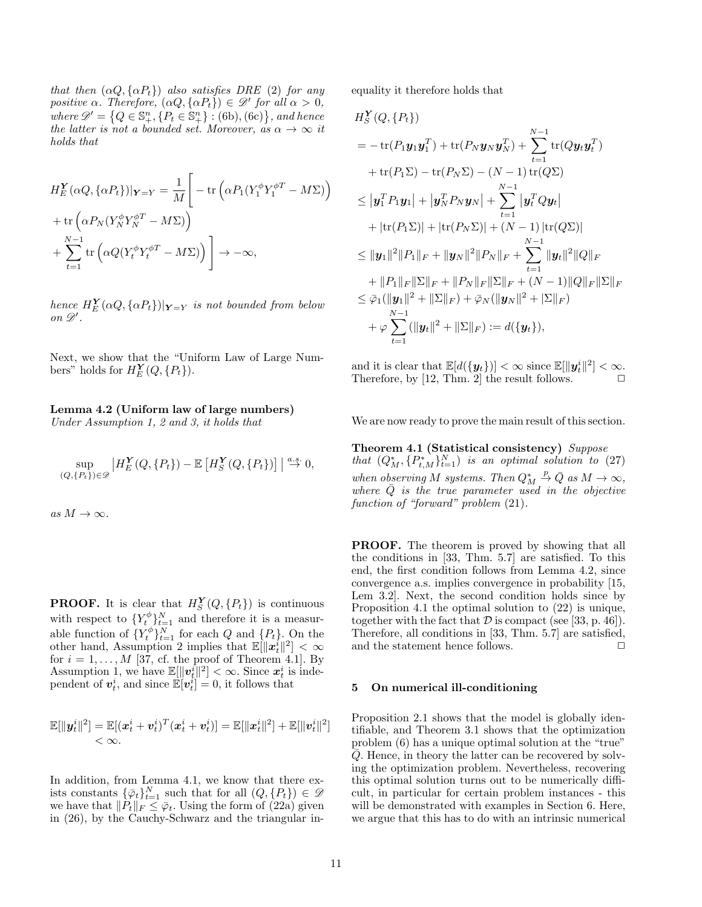that then  $(\alpha Q, {\alpha P_t})$  also satisfies DRE [\(2\)](#page-2-3) for any positive  $\alpha$ . Therefore,  $(\alpha Q, {\alpha P_t}) \in \mathscr{D}'$  for all  $\alpha > 0$ , where  $\mathscr{D}' = \left\{Q \in \mathbb{S}^n_+, \left\{P_t \in \mathbb{S}^n_+\right\} : (6b), (6c)\right\}$  $\mathscr{D}' = \left\{Q \in \mathbb{S}^n_+, \left\{P_t \in \mathbb{S}^n_+\right\} : (6b), (6c)\right\}$  $\mathscr{D}' = \left\{Q \in \mathbb{S}^n_+, \left\{P_t \in \mathbb{S}^n_+\right\} : (6b), (6c)\right\}$  $\mathscr{D}' = \left\{Q \in \mathbb{S}^n_+, \left\{P_t \in \mathbb{S}^n_+\right\} : (6b), (6c)\right\}$  $\mathscr{D}' = \left\{Q \in \mathbb{S}^n_+, \left\{P_t \in \mathbb{S}^n_+\right\} : (6b), (6c)\right\}$ , and hence the latter is not a bounded set. Moreover, as  $\alpha \to \infty$  it holds that

$$
H_E^{\mathbf{Y}}(\alpha Q, {\alpha P_t})|_{\mathbf{Y}=Y} = \frac{1}{M} \left[ -\text{tr}\left( \alpha P_1 (Y_1^{\phi} Y_1^{\phi T} - M\Sigma) \right) + \text{tr}\left( \alpha P_N (Y_N^{\phi} Y_N^{\phi T} - M\Sigma) \right) + \sum_{t=1}^{N-1} \text{tr}\left( \alpha Q (Y_t^{\phi} Y_t^{\phi T} - M\Sigma) \right) \right] \to -\infty,
$$

hence  $H_E^{\mathbf{Y}}(\alpha Q,\{\alpha P_t\})|_{\mathbf{Y=Y}}$  is not bounded from below on  $\mathscr{D}'$ .

<span id="page-10-1"></span>Next, we show that the "Uniform Law of Large Numbers" holds for  $H_E^{\mathbf{Y}}(Q, \{P_t\})$ .

## Lemma 4.2 (Uniform law of large numbers)

Under Assumption [1,](#page-7-2) [2](#page-7-4) and [3,](#page-7-5) it holds that

$$
\sup_{(Q,\{P_t\})\in\mathscr{D}}\left|H_E^{\mathbf{Y}}(Q,\{P_t\})-\mathbb{E}\left[H_S^{\mathbf{Y}}(Q,\{P_t\})\right]\right|\stackrel{a.s.}{\to} 0,
$$

as  $M \to \infty$ .

**PROOF.** It is clear that  $H_S^{\mathbf{Y}}(Q, \{P_t\})$  is continuous with respect to  $\{Y_t^{\phi}\}_{t=1}^N$  and therefore it is a measurable function of  $\{Y_t^{\phi}\}_{t=1}^N$  for each Q and  $\{P_t\}$ . On the other hand, Assumption [2](#page-7-4) implies that  $\mathbb{E}[\|\mathbf{x}_t^i\|^2]<\infty$ for  $i = 1, ..., M$  [\[37,](#page-15-10) cf. the proof of Theorem 4.1]. By Assumption [1,](#page-7-2) we have  $\mathbb{E}[\Vert v_t^{\hat{i}} \Vert^2] < \infty$ . Since  $x_t^i$  is independent of  $v_t^i$ , and since  $\mathbb{E}[v_t^i] = 0$ , it follows that

$$
\mathbb{E}[\|\boldsymbol{y}_t^i\|^2] = \mathbb{E}[(\boldsymbol{x}_t^i + \boldsymbol{v}_t^i)^T(\boldsymbol{x}_t^i + \boldsymbol{v}_t^i)] = \mathbb{E}[\|\boldsymbol{x}_t^i\|^2] + \mathbb{E}[\|\boldsymbol{v}_t^i\|^2] < \infty.
$$

In addition, from Lemma [4.1,](#page-9-4) we know that there exists constants  $\{\overline{\varphi}_t\}_{t=1}^N$  such that for all  $(Q, \{P_t\}) \in \mathscr{D}$ we have that  $||P_t||_F \leq \bar{\varphi}_t$ . Using the form of [\(22a\)](#page-8-0) given in [\(26\)](#page-9-5), by the Cauchy-Schwarz and the triangular inequality it therefore holds that

$$
H_S^Y(Q, \{P_t\})
$$
  
=  $-\text{tr}(P_1y_1y_1^T) + \text{tr}(P_Ny_Ny_N^T) + \sum_{t=1}^{N-1}\text{tr}(Qy_ty_t^T)$   
+  $\text{tr}(P_1\Sigma) - \text{tr}(P_N\Sigma) - (N-1)\text{tr}(Q\Sigma)$   
 $\leq |\mathbf{y}_1^TP_1y_1| + |\mathbf{y}_N^TP_Ny_N| + \sum_{t=1}^{N-1} |\mathbf{y}_t^TQy_t|$   
+  $|\text{tr}(P_1\Sigma)| + |\text{tr}(P_N\Sigma)| + (N-1)|\text{tr}(Q\Sigma)|$   
 $\leq ||\mathbf{y}_1||^2 ||P_1||_F + ||\mathbf{y}_N||^2 ||P_N||_F + \sum_{t=1}^{N-1} ||\mathbf{y}_t||^2 ||Q||_F$   
+  $||P_1||_F ||\Sigma||_F + ||P_N||_F ||\Sigma||_F + (N-1)||Q||_F ||\Sigma||_F$   
 $\leq \bar{\varphi}_1(||\mathbf{y}_1||^2 + ||\Sigma||_F) + \bar{\varphi}_N(||\mathbf{y}_N||^2 + |\Sigma||_F)$   
+  $\varphi \sum_{t=1}^{N-1} (||\mathbf{y}_t||^2 + ||\Sigma||_F) := d(\{\mathbf{y}_t\}),$ 

and it is clear that  $\mathbb{E}[d(\{\mathbf{y}_t\})] < \infty$  since  $\mathbb{E}[\|\mathbf{y}_t^i\|^2] < \infty$ . Therefore, by [\[12,](#page-15-25) Thm. 2] the result follows.  $\square$ 

<span id="page-10-2"></span>We are now ready to prove the main result of this section.

# Theorem 4.1 (Statistical consistency) Suppose that  $(Q_M^*, \{P_{t,M}^*\}_{t=1}^N)$  is an optimal solution to [\(27\)](#page-9-0) when observing M systems. Then  $Q_M^* \stackrel{p}{\to} \bar{Q}$  as  $M \to \infty$ , where  $\overline{Q}$  is the true parameter used in the objective function of "forward" problem  $(21)$ .

PROOF. The theorem is proved by showing that all the conditions in [\[33,](#page-15-26) Thm. 5.7] are satisfied. To this end, the first condition follows from Lemma [4.2,](#page-10-1) since convergence a.s. implies convergence in probability [\[15,](#page-15-27) Lem 3.2]. Next, the second condition holds since by Proposition [4.1](#page-8-6) the optimal solution to [\(22\)](#page-8-1) is unique, together with the fact that  $D$  is compact (see [\[33,](#page-15-26) p. 46]). Therefore, all conditions in [\[33,](#page-15-26) Thm. 5.7] are satisfied, and the statement hence follows.  $\Box$ 

## <span id="page-10-0"></span>5 On numerical ill-conditioning

Proposition [2.1](#page-3-3) shows that the model is globally identifiable, and Theorem [3.1](#page-5-4) shows that the optimization problem [\(6\)](#page-4-0) has a unique optimal solution at the "true"  $\overline{Q}$ . Hence, in theory the latter can be recovered by solving the optimization problem. Nevertheless, recovering this optimal solution turns out to be numerically difficult, in particular for certain problem instances - this will be demonstrated with examples in Section [6.](#page-12-0) Here, we argue that this has to do with an intrinsic numerical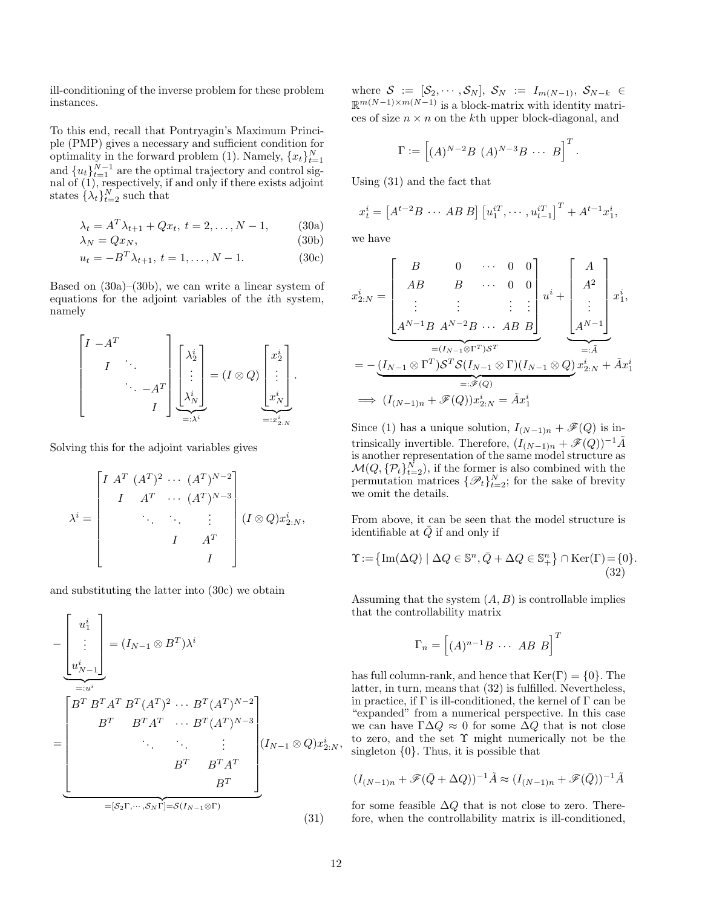ill-conditioning of the inverse problem for these problem instances.

To this end, recall that Pontryagin's Maximum Principle (PMP) gives a necessary and sufficient condition for optimality in the forward problem [\(1\)](#page-2-1). Namely,  ${x_t}_{t=1}^N$ and  ${u_t}_{t=1}^{N-1}$  are the optimal trajectory and control signal of  $(1)$ , respectively, if and only if there exists adjoint states  $\{\lambda_t\}_{t=2}^N$  such that

$$
\lambda_t = A^T \lambda_{t+1} + Q x_t, \ t = 2, \dots, N - 1, \tag{30a}
$$

$$
\lambda_N = Qx_N,\tag{30b}
$$

$$
u_t = -B^T \lambda_{t+1}, \ t = 1, \dots, N - 1. \tag{30c}
$$

Based on  $(30a)-(30b)$  $(30a)-(30b)$ , we can write a linear system of equations for the adjoint variables of the ith system, namely

$$
\begin{bmatrix} I & -A^T & & \\ & I & \ddots & \\ & & \ddots & -A^T \\ & & & I \end{bmatrix} \begin{bmatrix} \lambda_2^i \\ \vdots \\ \lambda_N^i \end{bmatrix} = (I \otimes Q) \begin{bmatrix} x_2^i \\ \vdots \\ x_N^i \end{bmatrix}.
$$

Solving this for the adjoint variables gives

$$
\lambda^{i} = \begin{bmatrix} I & A^{T} & (A^{T})^{2} & \cdots & (A^{T})^{N-2} \\ I & A^{T} & \cdots & (A^{T})^{N-3} \\ & \ddots & \ddots & \vdots \\ & & I & A^{T} \\ & & & I & I \end{bmatrix} (I \otimes Q) x_{2:N}^{i},
$$

and substituting the latter into [\(30c\)](#page-11-2) we obtain

$$
-\left[\begin{array}{c} u_1^i \\ \vdots \\ u_{N-1}^i \end{array}\right] = (I_{N-1} \otimes B^T) \lambda^i
$$
  

$$
=\left[\begin{array}{cccc} B^T B^T A^T B^T (A^T)^2 & \cdots & B^T (A^T)^{N-2} \\ B^T & B^T A^T & \cdots & B^T (A^T)^{N-3} \\ & \ddots & \ddots & \vdots \\ B^T & B^T A^T & \\ & & B^T \end{array}\right] (I_{N-1} \otimes Q) x_{2:N}^i,
$$
  

$$
= [S_2 \Gamma, \cdots, S_N \Gamma] = S(I_{N-1} \otimes \Gamma)
$$
 (31)

where  $S := [\mathcal{S}_2, \cdots, \mathcal{S}_N], \mathcal{S}_N := I_{m(N-1)}, \mathcal{S}_{N-k} \in$  $\mathbb{R}^{m(N-1)\times m(N-1)}$  is a block-matrix with identity matrices of size  $n \times n$  on the kth upper block-diagonal, and

$$
\Gamma := \left[ (A)^{N-2} B (A)^{N-3} B \cdots B \right]^T.
$$

Using [\(31\)](#page-11-3) and the fact that

$$
x_t^i = [A^{t-2}B \cdots AB B] [u_1^{iT}, \cdots, u_{t-1}^{iT}]^T + A^{t-1} x_1^i,
$$

<span id="page-11-2"></span><span id="page-11-1"></span><span id="page-11-0"></span>we have

$$
x_{2:N}^i = \begin{bmatrix} B & 0 & \cdots & 0 & 0 \\ AB & B & \cdots & 0 & 0 \\ \vdots & \vdots & & \vdots & \vdots \\ A^{N-1}B & A^{N-2}B & \cdots & AB & B \end{bmatrix} u^i + \begin{bmatrix} A \\ A^2 \\ \vdots \\ A^{N-1} \end{bmatrix} x_1^i,
$$
\n
$$
= -\underbrace{(I_{N-1} \otimes \Gamma^T)S^T S (I_{N-1} \otimes \Gamma)(I_{N-1} \otimes Q)}_{=: \mathcal{F}(Q)} x_{2:N}^i + \tilde{A} x_1^i
$$
\n
$$
= \mathcal{F}(Q)
$$
\n
$$
\implies (I_{(N-1)n} + \mathcal{F}(Q)) x_{2:N}^i = \tilde{A} x_1^i
$$

Since [\(1\)](#page-2-1) has a unique solution,  $I_{(N-1)n} + \mathscr{F}(Q)$  is intrinsically invertible. Therefore,  $(I_{(N-1)n} + \mathscr{F}(Q))^{-1} \tilde{A}$ is another representation of the same model structure as  $\mathcal{M}(Q, \{ \mathcal{P}_t \}_{t=2}^N)$ , if the former is also combined with the permutation matrices  $\{\mathscr{P}_t\}_{t=2}^N$ ; for the sake of brevity we omit the details.

From above, it can be seen that the model structure is identifiable at  $\overline{Q}$  if and only if

$$
\Upsilon := \{ \text{Im}(\Delta Q) \mid \Delta Q \in \mathbb{S}^n, \bar{Q} + \Delta Q \in \mathbb{S}_+^n \} \cap \text{Ker}(\Gamma) = \{0\}. \tag{32}
$$

Assuming that the system  $(A, B)$  is controllable implies that the controllability matrix

<span id="page-11-4"></span>
$$
\Gamma_n = \left[ (A)^{n-1} B \cdots AB \ B \right]^T
$$

has full column-rank, and hence that  $\text{Ker}(\Gamma) = \{0\}$ . The latter, in turn, means that [\(32\)](#page-11-4) is fulfilled. Nevertheless, in practice, if  $\Gamma$  is ill-conditioned, the kernel of  $\Gamma$  can be "expanded" from a numerical perspective. In this case we can have  $\Gamma \Delta Q \approx 0$  for some  $\Delta Q$  that is not close to zero, and the set Υ might numerically not be the singleton {0}. Thus, it is possible that

$$
(I_{(N-1)n} + \mathscr{F}(\bar{Q} + \Delta Q))^{-1}\tilde{A} \approx (I_{(N-1)n} + \mathscr{F}(\bar{Q}))^{-1}\tilde{A}
$$

<span id="page-11-3"></span>for some feasible  $\Delta Q$  that is not close to zero. Therefore, when the controllability matrix is ill-conditioned,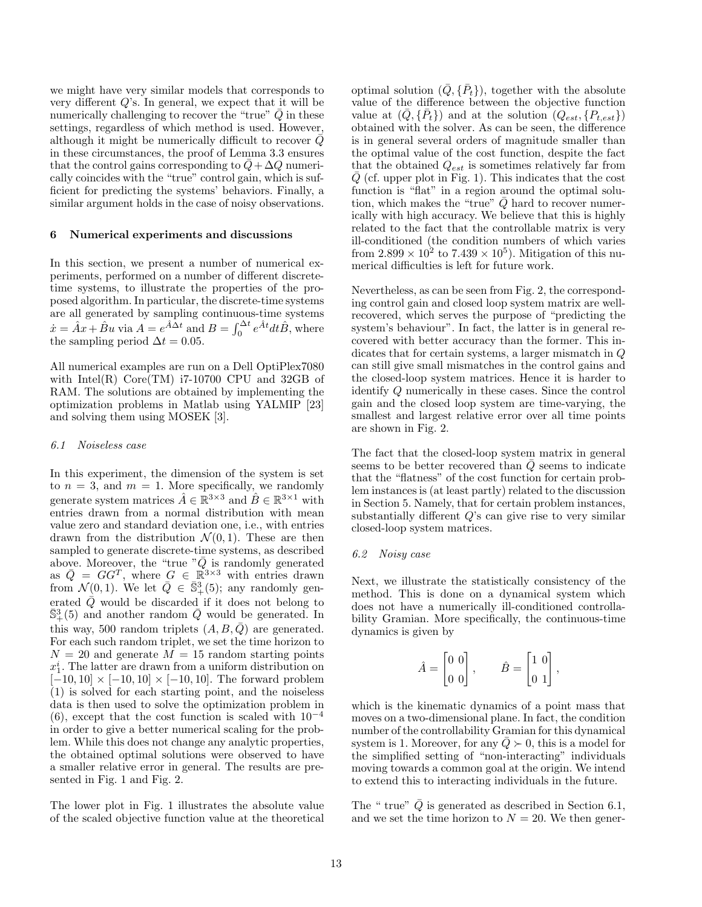we might have very similar models that corresponds to very different  $Q$ 's. In general, we expect that it will be numerically challenging to recover the "true"  $\overline{Q}$  in these settings, regardless of which method is used. However, although it might be numerically difficult to recover  $\overline{Q}$ in these circumstances, the proof of Lemma [3.3](#page-5-1) ensures that the control gains corresponding to  $Q + \Delta Q$  numerically coincides with the "true" control gain, which is sufficient for predicting the systems' behaviors. Finally, a similar argument holds in the case of noisy observations.

#### <span id="page-12-0"></span>6 Numerical experiments and discussions

In this section, we present a number of numerical experiments, performed on a number of different discretetime systems, to illustrate the properties of the proposed algorithm. In particular, the discrete-time systems are all generated by sampling continuous-time systems  $\dot{x} = \hat{A}x + \hat{B}u$  via  $A = e^{\hat{A}\Delta t}$  and  $B = \int_0^{\Delta t} e^{\hat{A}t} dt \hat{B}$ , where the sampling period  $\Delta t = 0.05$ .

All numerical examples are run on a Dell OptiPlex7080 with Intel $(R)$  Core $(TM)$  i7-10700 CPU and 32GB of RAM. The solutions are obtained by implementing the optimization problems in Matlab using YALMIP [\[23\]](#page-15-24) and solving them using MOSEK [\[3\]](#page-14-8).

#### <span id="page-12-1"></span>6.1 Noiseless case

In this experiment, the dimension of the system is set to  $n = 3$ , and  $m = 1$ . More specifically, we randomly generate system matrices  $\hat{A} \in \mathbb{R}^{3 \times 3}$  and  $\hat{B} \in \mathbb{R}^{3 \times 1}$  with entries drawn from a normal distribution with mean value zero and standard deviation one, i.e., with entries drawn from the distribution  $\mathcal{N}(0, 1)$ . These are then sampled to generate discrete-time systems, as described above. Moreover, the "true " $\bar{Q}$  is randomly generated as  $\overline{Q} = GG^T$ , where  $G \in \mathbb{R}^{3 \times 3}$  with entries drawn from  $\mathcal{N}(0,1)$ . We let  $\overline{Q} \in \overline{\mathbb{S}}_+^3(5)$ ; any randomly generated  $Q$  would be discarded if it does not belong to  $\bar{S}_{+}^{3}(5)$  and another random  $\bar{Q}$  would be generated. In this way, 500 random triplets  $(A, B, Q)$  are generated. For each such random triplet, we set the time horizon to  $N = 20$  and generate  $M = 15$  random starting points  $x_1^i$ . The latter are drawn from a uniform distribution on  $[-10, 10] \times [-10, 10] \times [-10, 10]$ . The forward problem [\(1\)](#page-2-1) is solved for each starting point, and the noiseless data is then used to solve the optimization problem in [\(6\)](#page-4-0), except that the cost function is scaled with  $10^{-4}$ in order to give a better numerical scaling for the problem. While this does not change any analytic properties, the obtained optimal solutions were observed to have a smaller relative error in general. The results are presented in Fig. [1](#page-13-0) and Fig. [2.](#page-13-1)

The lower plot in Fig. [1](#page-13-0) illustrates the absolute value of the scaled objective function value at the theoretical

optimal solution  $(\bar{Q}, {\{\bar{P}_t\}})$ , together with the absolute value of the difference between the objective function value at  $(\bar{Q}, {\bar{P}_t})$  and at the solution  $(Q_{est}, {P_{t,est}})$ obtained with the solver. As can be seen, the difference is in general several orders of magnitude smaller than the optimal value of the cost function, despite the fact that the obtained  $Q_{est}$  is sometimes relatively far from  $Q$  (cf. upper plot in Fig. [1\)](#page-13-0). This indicates that the cost function is "flat" in a region around the optimal solution, which makes the "true"  $\overline{Q}$  hard to recover numerically with high accuracy. We believe that this is highly related to the fact that the controllable matrix is very ill-conditioned (the condition numbers of which varies from  $2.899 \times 10^2$  to  $7.439 \times 10^5$ ). Mitigation of this numerical difficulties is left for future work.

Nevertheless, as can be seen from Fig. [2,](#page-13-1) the corresponding control gain and closed loop system matrix are wellrecovered, which serves the purpose of "predicting the system's behaviour". In fact, the latter is in general recovered with better accuracy than the former. This indicates that for certain systems, a larger mismatch in Q can still give small mismatches in the control gains and the closed-loop system matrices. Hence it is harder to identify Q numerically in these cases. Since the control gain and the closed loop system are time-varying, the smallest and largest relative error over all time points are shown in Fig. [2.](#page-13-1)

The fact that the closed-loop system matrix in general seems to be better recovered than  $\overline{Q}$  seems to indicate that the "flatness" of the cost function for certain problem instances is (at least partly) related to the discussion in Section [5.](#page-10-0) Namely, that for certain problem instances, substantially different  $Q$ 's can give rise to very similar closed-loop system matrices.

#### <span id="page-12-2"></span>6.2 Noisy case

Next, we illustrate the statistically consistency of the method. This is done on a dynamical system which does not have a numerically ill-conditioned controllability Gramian. More specifically, the continuous-time dynamics is given by

$$
\hat{A} = \begin{bmatrix} 0 & 0 \\ 0 & 0 \end{bmatrix}, \qquad \hat{B} = \begin{bmatrix} 1 & 0 \\ 0 & 1 \end{bmatrix},
$$

which is the kinematic dynamics of a point mass that moves on a two-dimensional plane. In fact, the condition number of the controllability Gramian for this dynamical system is 1. Moreover, for any  $\overline{Q} \succ 0$ , this is a model for the simplified setting of "non-interacting" individuals moving towards a common goal at the origin. We intend to extend this to interacting individuals in the future.

The " true"  $\overline{Q}$  is generated as described in Section [6.1,](#page-12-1) and we set the time horizon to  $N = 20$ . We then gener-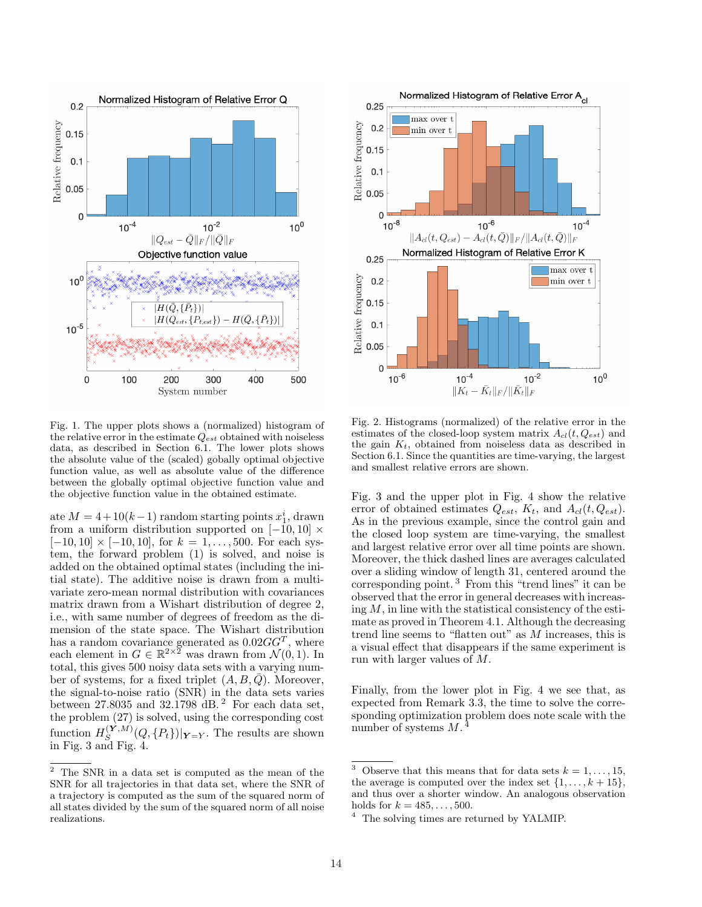<span id="page-13-0"></span>

Fig. 1. The upper plots shows a (normalized) histogram of the relative error in the estimate  $Q_{est}$  obtained with noiseless data, as described in Section [6.1.](#page-12-1) The lower plots shows the absolute value of the (scaled) gobally optimal objective function value, as well as absolute value of the difference between the globally optimal objective function value and the objective function value in the obtained estimate.

ate  $M = 4 + 10(k - 1)$  random starting points  $x_1^i$ , drawn from a uniform distribution supported on  $[-10, 10] \times$  $[-10, 10] \times [-10, 10]$ , for  $k = 1, ..., 500$ . For each system, the forward problem [\(1\)](#page-2-1) is solved, and noise is added on the obtained optimal states (including the initial state). The additive noise is drawn from a multivariate zero-mean normal distribution with covariances matrix drawn from a Wishart distribution of degree 2, i.e., with same number of degrees of freedom as the dimension of the state space. The Wishart distribution has a random covariance generated as  $0.02GG^T$ , where each element in  $G \in \mathbb{R}^{2 \times 2}$  was drawn from  $\mathcal{N}(0, 1)$ . In total, this gives 500 noisy data sets with a varying number of systems, for a fixed triplet  $(A, B, Q)$ . Moreover, the signal-to-noise ratio (SNR) in the data sets varies between [2](#page-13-2)7.8035 and 32.1798  $\acute{d}B$ .<sup>2</sup> For each data set, the problem [\(27\)](#page-9-0) is solved, using the corresponding cost function  $H_{S}^{(\mathbf{Y},M)}$  $\sum_{S}^{(Y, M)}(Q, \{P_t\})|_{Y=Y}$ . The results are shown in Fig. [3](#page-14-9) and Fig. [4.](#page-14-10)

<span id="page-13-1"></span>

Fig. 2. Histograms (normalized) of the relative error in the estimates of the closed-loop system matrix  $A_{cl}(t, Q_{est})$  and the gain  $K_t$ , obtained from noiseless data as described in Section [6.1.](#page-12-1) Since the quantities are time-varying, the largest and smallest relative errors are shown.

Fig. [3](#page-14-9) and the upper plot in Fig. [4](#page-14-10) show the relative error of obtained estimates  $Q_{est}$ ,  $K_t$ , and  $A_{cl}(t, Q_{est})$ . As in the previous example, since the control gain and the closed loop system are time-varying, the smallest and largest relative error over all time points are shown. Moreover, the thick dashed lines are averages calculated over a sliding window of length 31, centered around the corresponding point. [3](#page-13-3) From this "trend lines" it can be observed that the error in general decreases with increasing  $M$ , in line with the statistical consistency of the estimate as proved in Theorem [4.1.](#page-10-2) Although the decreasing trend line seems to "flatten out" as  $M$  increases, this is a visual effect that disappears if the same experiment is run with larger values of M.

Finally, from the lower plot in Fig. [4](#page-14-10) we see that, as expected from Remark [3.3,](#page-7-6) the time to solve the corresponding optimization problem does note scale with the number of systems  $M$ .<sup>[4](#page-13-4)</sup>

<span id="page-13-2"></span><sup>2</sup> The SNR in a data set is computed as the mean of the SNR for all trajectories in that data set, where the SNR of a trajectory is computed as the sum of the squared norm of all states divided by the sum of the squared norm of all noise realizations.

<span id="page-13-3"></span><sup>&</sup>lt;sup>3</sup> Observe that this means that for data sets  $k = 1, \ldots, 15$ . the average is computed over the index set  $\{1, \ldots, k+15\}$ , and thus over a shorter window. An analogous observation holds for  $k = 485, ..., 500$ .

<span id="page-13-4"></span><sup>&</sup>lt;sup>4</sup> The solving times are returned by YALMIP.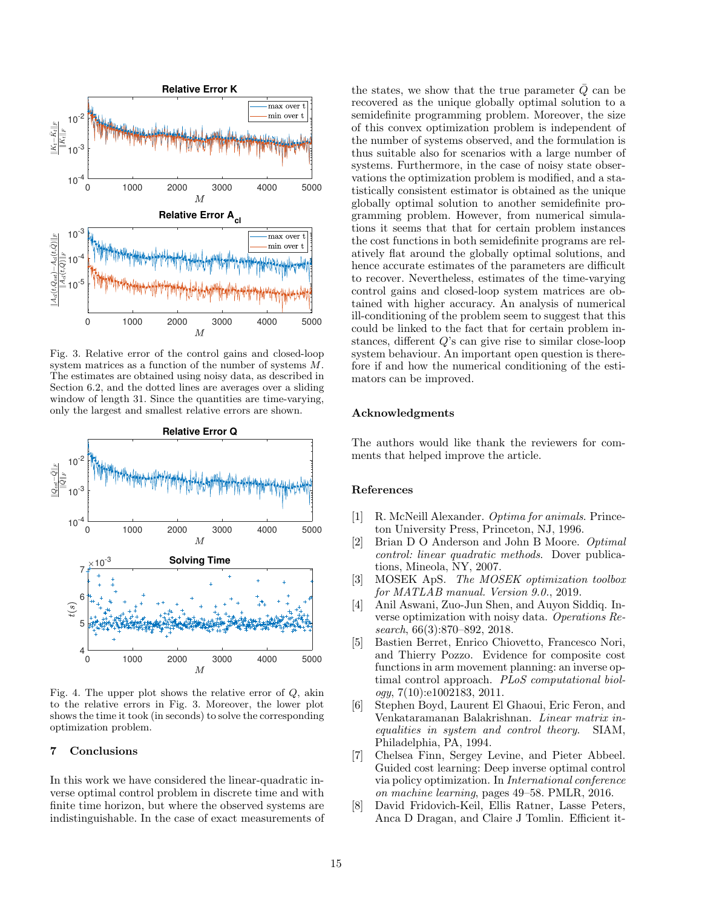<span id="page-14-9"></span>

Fig. 3. Relative error of the control gains and closed-loop system matrices as a function of the number of systems M. The estimates are obtained using noisy data, as described in Section [6.2,](#page-12-2) and the dotted lines are averages over a sliding window of length 31. Since the quantities are time-varying, only the largest and smallest relative errors are shown.

<span id="page-14-10"></span>

Fig. 4. The upper plot shows the relative error of  $Q$ , akin to the relative errors in Fig. [3.](#page-14-9) Moreover, the lower plot shows the time it took (in seconds) to solve the corresponding optimization problem.

#### <span id="page-14-7"></span>7 Conclusions

In this work we have considered the linear-quadratic inverse optimal control problem in discrete time and with finite time horizon, but where the observed systems are indistinguishable. In the case of exact measurements of the states, we show that the true parameter  $Q$  can be recovered as the unique globally optimal solution to a semidefinite programming problem. Moreover, the size of this convex optimization problem is independent of the number of systems observed, and the formulation is thus suitable also for scenarios with a large number of systems. Furthermore, in the case of noisy state observations the optimization problem is modified, and a statistically consistent estimator is obtained as the unique globally optimal solution to another semidefinite programming problem. However, from numerical simulations it seems that that for certain problem instances the cost functions in both semidefinite programs are relatively flat around the globally optimal solutions, and hence accurate estimates of the parameters are difficult to recover. Nevertheless, estimates of the time-varying control gains and closed-loop system matrices are obtained with higher accuracy. An analysis of numerical ill-conditioning of the problem seem to suggest that this could be linked to the fact that for certain problem instances, different Q's can give rise to similar close-loop system behaviour. An important open question is therefore if and how the numerical conditioning of the estimators can be improved.

#### Acknowledgments

The authors would like thank the reviewers for comments that helped improve the article.

## References

- <span id="page-14-0"></span>[1] R. McNeill Alexander. Optima for animals. Princeton University Press, Princeton, NJ, 1996.
- <span id="page-14-5"></span>[2] Brian D O Anderson and John B Moore. Optimal control: linear quadratic methods. Dover publications, Mineola, NY, 2007.
- <span id="page-14-8"></span>[3] MOSEK ApS. The MOSEK optimization toolbox for MATLAB manual. Version 9.0., 2019.
- <span id="page-14-3"></span>[4] Anil Aswani, Zuo-Jun Shen, and Auyon Siddiq. Inverse optimization with noisy data. Operations Research, 66(3):870–892, 2018.
- <span id="page-14-1"></span>[5] Bastien Berret, Enrico Chiovetto, Francesco Nori, and Thierry Pozzo. Evidence for composite cost functions in arm movement planning: an inverse optimal control approach. PLoS computational biol $ogy, 7(10):e1002183, 2011.$
- <span id="page-14-6"></span>[6] Stephen Boyd, Laurent El Ghaoui, Eric Feron, and Venkataramanan Balakrishnan. Linear matrix inequalities in system and control theory. SIAM, Philadelphia, PA, 1994.
- <span id="page-14-2"></span>[7] Chelsea Finn, Sergey Levine, and Pieter Abbeel. Guided cost learning: Deep inverse optimal control via policy optimization. In International conference on machine learning, pages 49–58. PMLR, 2016.
- <span id="page-14-4"></span>[8] David Fridovich-Keil, Ellis Ratner, Lasse Peters, Anca D Dragan, and Claire J Tomlin. Efficient it-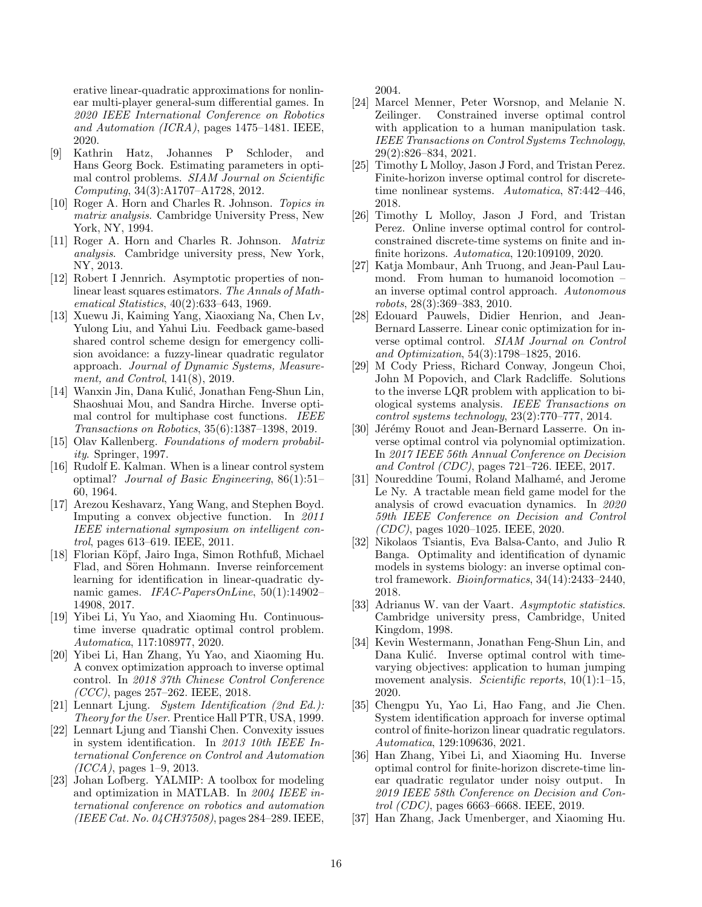erative linear-quadratic approximations for nonlinear multi-player general-sum differential games. In 2020 IEEE International Conference on Robotics and Automation (ICRA), pages 1475–1481. IEEE, 2020.

- <span id="page-15-17"></span>[9] Kathrin Hatz, Johannes P Schloder, and Hans Georg Bock. Estimating parameters in optimal control problems. SIAM Journal on Scientific Computing, 34(3):A1707–A1728, 2012.
- <span id="page-15-23"></span>[10] Roger A. Horn and Charles R. Johnson. Topics in matrix analysis. Cambridge University Press, New York, NY, 1994.
- <span id="page-15-21"></span>[11] Roger A. Horn and Charles R. Johnson. Matrix analysis. Cambridge university press, New York, NY, 2013.
- <span id="page-15-25"></span>[12] Robert I Jennrich. Asymptotic properties of nonlinear least squares estimators. The Annals of Mathematical Statistics, 40(2):633–643, 1969.
- <span id="page-15-11"></span>[13] Xuewu Ji, Kaiming Yang, Xiaoxiang Na, Chen Lv, Yulong Liu, and Yahui Liu. Feedback game-based shared control scheme design for emergency collision avoidance: a fuzzy-linear quadratic regulator approach. Journal of Dynamic Systems, Measurement, and Control, 141(8), 2019.
- <span id="page-15-4"></span>[14] Wanxin Jin, Dana Kulić, Jonathan Feng-Shun Lin, Shaoshuai Mou, and Sandra Hirche. Inverse optimal control for multiphase cost functions. IEEE Transactions on Robotics, 35(6):1387–1398, 2019.
- <span id="page-15-27"></span>[15] Olav Kallenberg. Foundations of modern probability. Springer, 1997.
- <span id="page-15-0"></span>[16] Rudolf E. Kalman. When is a linear control system optimal? Journal of Basic Engineering, 86(1):51– 60, 1964.
- <span id="page-15-16"></span>[17] Arezou Keshavarz, Yang Wang, and Stephen Boyd. Imputing a convex objective function. In 2011 IEEE international symposium on intelligent control, pages 613–619. IEEE, 2011.
- <span id="page-15-7"></span>[18] Florian Köpf, Jairo Inga, Simon Rothfuß, Michael Flad, and Sören Hohmann. Inverse reinforcement learning for identification in linear-quadratic dynamic games. IFAC-PapersOnLine, 50(1):14902-14908, 2017.
- <span id="page-15-13"></span>[19] Yibei Li, Yu Yao, and Xiaoming Hu. Continuoustime inverse quadratic optimal control problem. Automatica, 117:108977, 2020.
- <span id="page-15-14"></span>[20] Yibei Li, Han Zhang, Yu Yao, and Xiaoming Hu. A convex optimization approach to inverse optimal control. In 2018 37th Chinese Control Conference  $(CCC)$ , pages 257–262. IEEE, 2018.
- <span id="page-15-1"></span>[21] Lennart Ljung. System Identification (2nd Ed.): Theory for the User. Prentice Hall PTR, USA, 1999.
- <span id="page-15-22"></span>[22] Lennart Ljung and Tianshi Chen. Convexity issues in system identification. In 2013 10th IEEE International Conference on Control and Automation  $(ICCA)$ , pages 1–9, 2013.
- <span id="page-15-24"></span>[23] Johan Lofberg. YALMIP: A toolbox for modeling and optimization in MATLAB. In 2004 IEEE international conference on robotics and automation (IEEE Cat. No. 04CH37508), pages 284–289. IEEE,

2004.

- <span id="page-15-5"></span>[24] Marcel Menner, Peter Worsnop, and Melanie N. Zeilinger. Constrained inverse optimal control with application to a human manipulation task. IEEE Transactions on Control Systems Technology, 29(2):826–834, 2021.
- <span id="page-15-8"></span>[25] Timothy L Molloy, Jason J Ford, and Tristan Perez. Finite-horizon inverse optimal control for discretetime nonlinear systems. Automatica, 87:442–446, 2018.
- <span id="page-15-18"></span>[26] Timothy L Molloy, Jason J Ford, and Tristan Perez. Online inverse optimal control for controlconstrained discrete-time systems on finite and infinite horizons. Automatica, 120:109109, 2020.
- <span id="page-15-3"></span>[27] Katja Mombaur, Anh Truong, and Jean-Paul Laumond. From human to humanoid locomotion – an inverse optimal control approach. Autonomous robots, 28(3):369–383, 2010.
- <span id="page-15-19"></span>[28] Edouard Pauwels, Didier Henrion, and Jean-Bernard Lasserre. Linear conic optimization for inverse optimal control. SIAM Journal on Control and Optimization, 54(3):1798–1825, 2016.
- <span id="page-15-15"></span>[29] M Cody Priess, Richard Conway, Jongeun Choi, John M Popovich, and Clark Radcliffe. Solutions to the inverse LQR problem with application to biological systems analysis. IEEE Transactions on control systems technology, 23(2):770–777, 2014.
- <span id="page-15-20"></span>[30] Jérémy Rouot and Jean-Bernard Lasserre. On inverse optimal control via polynomial optimization. In 2017 IEEE 56th Annual Conference on Decision and Control (CDC), pages 721–726. IEEE, 2017.
- <span id="page-15-12"></span>[31] Noureddine Toumi, Roland Malhamé, and Jerome Le Ny. A tractable mean field game model for the analysis of crowd evacuation dynamics. In 2020 59th IEEE Conference on Decision and Control (CDC), pages 1020–1025. IEEE, 2020.
- <span id="page-15-6"></span>[32] Nikolaos Tsiantis, Eva Balsa-Canto, and Julio R Banga. Optimality and identification of dynamic models in systems biology: an inverse optimal control framework. Bioinformatics, 34(14):2433–2440, 2018.
- <span id="page-15-26"></span>[33] Adrianus W. van der Vaart. Asymptotic statistics. Cambridge university press, Cambridge, United Kingdom, 1998.
- <span id="page-15-2"></span>[34] Kevin Westermann, Jonathan Feng-Shun Lin, and Dana Kulić. Inverse optimal control with timevarying objectives: application to human jumping movement analysis. Scientific reports,  $10(1):1-15$ , 2020.
- <span id="page-15-9"></span>[35] Chengpu Yu, Yao Li, Hao Fang, and Jie Chen. System identification approach for inverse optimal control of finite-horizon linear quadratic regulators. Automatica, 129:109636, 2021.
- [36] Han Zhang, Yibei Li, and Xiaoming Hu. Inverse optimal control for finite-horizon discrete-time linear quadratic regulator under noisy output. In 2019 IEEE 58th Conference on Decision and Control (CDC), pages 6663–6668. IEEE, 2019.
- <span id="page-15-10"></span>[37] Han Zhang, Jack Umenberger, and Xiaoming Hu.